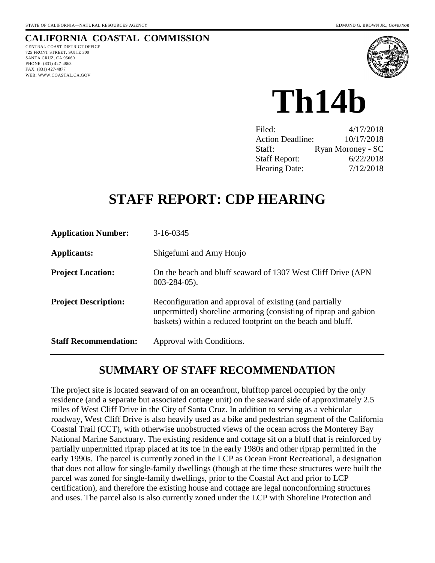## **CALIFORNIA COASTAL COMMISSION**

CENTRAL COAST DISTRICT OFFICE 725 FRONT STREET, SUITE 300 SANTA CRUZ, CA 95060 PHONE: (831) 427-4863 FAX: (831) 427-4877 WEB: WWW.COASTAL.CA.GOV



**Th14b** 

| Filed:                  | 4/17/2018         |
|-------------------------|-------------------|
| <b>Action Deadline:</b> | 10/17/2018        |
| Staff:                  | Ryan Moroney - SC |
| <b>Staff Report:</b>    | 6/22/2018         |
| <b>Hearing Date:</b>    | 7/12/2018         |

# **STAFF REPORT: CDP HEARING**

| <b>Application Number:</b>   | 3-16-0345                                                                                                                                                                                  |
|------------------------------|--------------------------------------------------------------------------------------------------------------------------------------------------------------------------------------------|
| <b>Applicants:</b>           | Shigefumi and Amy Honjo                                                                                                                                                                    |
| <b>Project Location:</b>     | On the beach and bluff seaward of 1307 West Cliff Drive (APN)<br>$003 - 284 - 05$ ).                                                                                                       |
| <b>Project Description:</b>  | Reconfiguration and approval of existing (and partially<br>unpermitted) shoreline armoring (consisting of riprap and gabion<br>baskets) within a reduced footprint on the beach and bluff. |
| <b>Staff Recommendation:</b> | Approval with Conditions.                                                                                                                                                                  |

# **SUMMARY OF STAFF RECOMMENDATION**

The project site is located seaward of on an oceanfront, blufftop parcel occupied by the only residence (and a separate but associated cottage unit) on the seaward side of approximately 2.5 miles of West Cliff Drive in the City of Santa Cruz. In addition to serving as a vehicular roadway, West Cliff Drive is also heavily used as a bike and pedestrian segment of the California Coastal Trail (CCT), with otherwise unobstructed views of the ocean across the Monterey Bay National Marine Sanctuary. The existing residence and cottage sit on a bluff that is reinforced by partially unpermitted riprap placed at its toe in the early 1980s and other riprap permitted in the early 1990s. The parcel is currently zoned in the LCP as Ocean Front Recreational, a designation that does not allow for single-family dwellings (though at the time these structures were built the parcel was zoned for single-family dwellings, prior to the Coastal Act and prior to LCP certification), and therefore the existing house and cottage are legal nonconforming structures and uses. The parcel also is also currently zoned under the LCP with Shoreline Protection and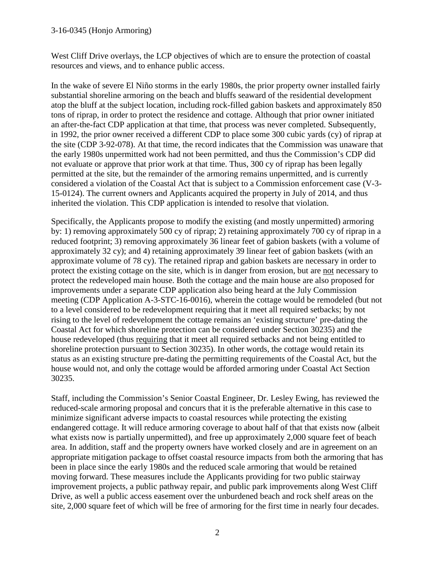#### 3-16-0345 (Honjo Armoring)

West Cliff Drive overlays, the LCP objectives of which are to ensure the protection of coastal resources and views, and to enhance public access.

In the wake of severe El Niño storms in the early 1980s, the prior property owner installed fairly substantial shoreline armoring on the beach and bluffs seaward of the residential development atop the bluff at the subject location, including rock-filled gabion baskets and approximately 850 tons of riprap, in order to protect the residence and cottage. Although that prior owner initiated an after-the-fact CDP application at that time, that process was never completed. Subsequently, in 1992, the prior owner received a different CDP to place some 300 cubic yards (cy) of riprap at the site (CDP 3-92-078). At that time, the record indicates that the Commission was unaware that the early 1980s unpermitted work had not been permitted, and thus the Commission's CDP did not evaluate or approve that prior work at that time. Thus, 300 cy of riprap has been legally permitted at the site, but the remainder of the armoring remains unpermitted, and is currently considered a violation of the Coastal Act that is subject to a Commission enforcement case (V-3- 15-0124). The current owners and Applicants acquired the property in July of 2014, and thus inherited the violation. This CDP application is intended to resolve that violation.

Specifically, the Applicants propose to modify the existing (and mostly unpermitted) armoring by: 1) removing approximately 500 cy of riprap; 2) retaining approximately 700 cy of riprap in a reduced footprint; 3) removing approximately 36 linear feet of gabion baskets (with a volume of approximately 32 cy); and 4) retaining approximately 39 linear feet of gabion baskets (with an approximate volume of 78 cy). The retained riprap and gabion baskets are necessary in order to protect the existing cottage on the site, which is in danger from erosion, but are not necessary to protect the redeveloped main house. Both the cottage and the main house are also proposed for improvements under a separate CDP application also being heard at the July Commission meeting (CDP Application A-3-STC-16-0016), wherein the cottage would be remodeled (but not to a level considered to be redevelopment requiring that it meet all required setbacks; by not rising to the level of redevelopment the cottage remains an 'existing structure' pre-dating the Coastal Act for which shoreline protection can be considered under Section 30235) and the house redeveloped (thus requiring that it meet all required setbacks and not being entitled to shoreline protection pursuant to Section 30235). In other words, the cottage would retain its status as an existing structure pre-dating the permitting requirements of the Coastal Act, but the house would not, and only the cottage would be afforded armoring under Coastal Act Section 30235.

Staff, including the Commission's Senior Coastal Engineer, Dr. Lesley Ewing, has reviewed the reduced-scale armoring proposal and concurs that it is the preferable alternative in this case to minimize significant adverse impacts to coastal resources while protecting the existing endangered cottage. It will reduce armoring coverage to about half of that that exists now (albeit what exists now is partially unpermitted), and free up approximately 2,000 square feet of beach area. In addition, staff and the property owners have worked closely and are in agreement on an appropriate mitigation package to offset coastal resource impacts from both the armoring that has been in place since the early 1980s and the reduced scale armoring that would be retained moving forward. These measures include the Applicants providing for two public stairway improvement projects, a public pathway repair, and public park improvements along West Cliff Drive, as well a public access easement over the unburdened beach and rock shelf areas on the site, 2,000 square feet of which will be free of armoring for the first time in nearly four decades.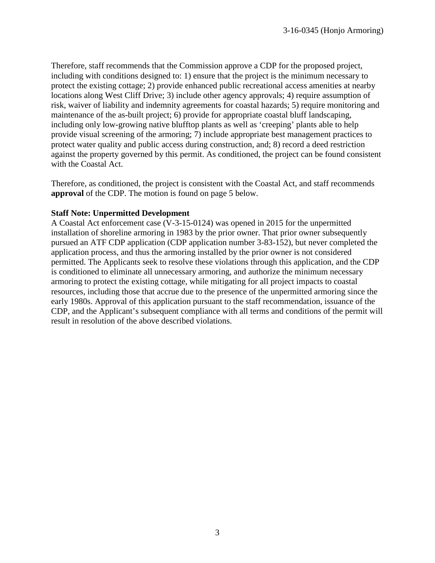Therefore, staff recommends that the Commission approve a CDP for the proposed project, including with conditions designed to: 1) ensure that the project is the minimum necessary to protect the existing cottage; 2) provide enhanced public recreational access amenities at nearby locations along West Cliff Drive; 3) include other agency approvals; 4) require assumption of risk, waiver of liability and indemnity agreements for coastal hazards; 5) require monitoring and maintenance of the as-built project; 6) provide for appropriate coastal bluff landscaping, including only low-growing native blufftop plants as well as 'creeping' plants able to help provide visual screening of the armoring; 7) include appropriate best management practices to protect water quality and public access during construction, and; 8) record a deed restriction against the property governed by this permit. As conditioned, the project can be found consistent with the Coastal Act.

Therefore, as conditioned, the project is consistent with the Coastal Act, and staff recommends **approval** of the CDP. The motion is found on page 5 below.

#### **Staff Note: Unpermitted Development**

A Coastal Act enforcement case (V-3-15-0124) was opened in 2015 for the unpermitted installation of shoreline armoring in 1983 by the prior owner. That prior owner subsequently pursued an ATF CDP application (CDP application number 3-83-152), but never completed the application process, and thus the armoring installed by the prior owner is not considered permitted. The Applicants seek to resolve these violations through this application, and the CDP is conditioned to eliminate all unnecessary armoring, and authorize the minimum necessary armoring to protect the existing cottage, while mitigating for all project impacts to coastal resources, including those that accrue due to the presence of the unpermitted armoring since the early 1980s. Approval of this application pursuant to the staff recommendation, issuance of the CDP, and the Applicant's subsequent compliance with all terms and conditions of the permit will result in resolution of the above described violations.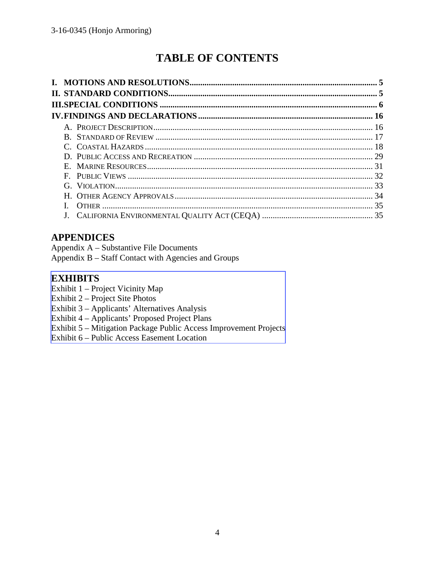# **TABLE OF CONTENTS**

# **APPENDICES**

Appendix A – Substantive File Documents

Appendix B – Staff Contact with Agencies and Groups

# **EXHIBITS**

- Exhibit 1 Project Vicinity Map
- Exhibit 2 Project Site Photos
- Exhibit 3 Applicants' Alternatives Analysis
- [Exhibit 4 Applicants' Proposed Project Plans](https://documents.coastal.ca.gov/reports/2018/7/W14b/W14b-7-2018-exhibits.pdf)
- Exhibit 5 Mitigation Package Public Access Improvement Projects
- Exhibit 6 Public Access Easement Location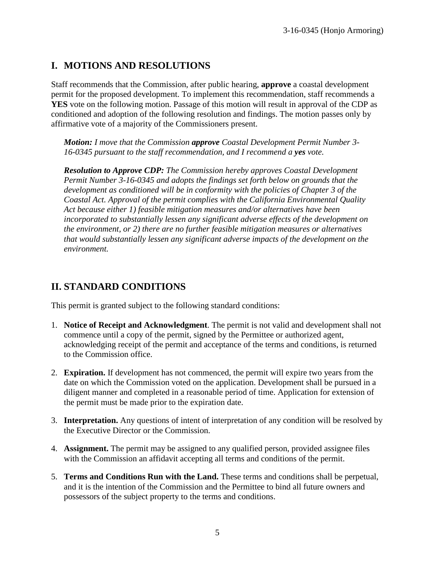# **I. MOTIONS AND RESOLUTIONS**

Staff recommends that the Commission, after public hearing, **approve** a coastal development permit for the proposed development. To implement this recommendation, staff recommends a **YES** vote on the following motion. Passage of this motion will result in approval of the CDP as conditioned and adoption of the following resolution and findings. The motion passes only by affirmative vote of a majority of the Commissioners present.

*Motion: I move that the Commission approve Coastal Development Permit Number 3- 16-0345 pursuant to the staff recommendation, and I recommend a yes vote.* 

*Resolution to Approve CDP: The Commission hereby approves Coastal Development Permit Number 3-16-0345 and adopts the findings set forth below on grounds that the development as conditioned will be in conformity with the policies of Chapter 3 of the Coastal Act. Approval of the permit complies with the California Environmental Quality Act because either 1) feasible mitigation measures and/or alternatives have been incorporated to substantially lessen any significant adverse effects of the development on the environment, or 2) there are no further feasible mitigation measures or alternatives that would substantially lessen any significant adverse impacts of the development on the environment.*

# **II. STANDARD CONDITIONS**

This permit is granted subject to the following standard conditions:

- 1. **Notice of Receipt and Acknowledgment**. The permit is not valid and development shall not commence until a copy of the permit, signed by the Permittee or authorized agent, acknowledging receipt of the permit and acceptance of the terms and conditions, is returned to the Commission office.
- 2. **Expiration.** If development has not commenced, the permit will expire two years from the date on which the Commission voted on the application. Development shall be pursued in a diligent manner and completed in a reasonable period of time. Application for extension of the permit must be made prior to the expiration date.
- 3. **Interpretation.** Any questions of intent of interpretation of any condition will be resolved by the Executive Director or the Commission.
- 4. **Assignment.** The permit may be assigned to any qualified person, provided assignee files with the Commission an affidavit accepting all terms and conditions of the permit.
- 5. **Terms and Conditions Run with the Land.** These terms and conditions shall be perpetual, and it is the intention of the Commission and the Permittee to bind all future owners and possessors of the subject property to the terms and conditions.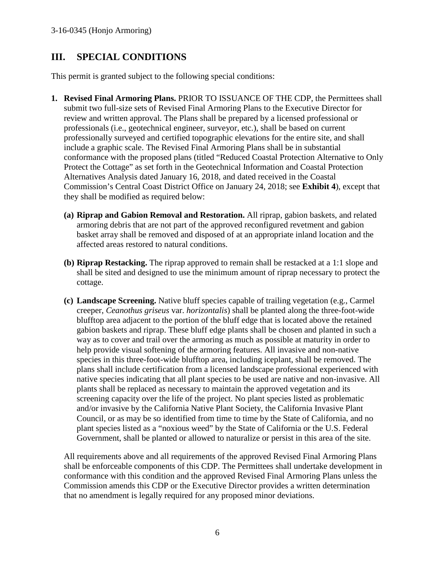# **III. SPECIAL CONDITIONS**

This permit is granted subject to the following special conditions:

- **1. Revised Final Armoring Plans.** PRIOR TO ISSUANCE OF THE CDP, the Permittees shall submit two full-size sets of Revised Final Armoring Plans to the Executive Director for review and written approval. The Plans shall be prepared by a licensed professional or professionals (i.e., geotechnical engineer, surveyor, etc.), shall be based on current professionally surveyed and certified topographic elevations for the entire site, and shall include a graphic scale. The Revised Final Armoring Plans shall be in substantial conformance with the proposed plans (titled "Reduced Coastal Protection Alternative to Only Protect the Cottage" as set forth in the Geotechnical Information and Coastal Protection Alternatives Analysis dated January 16, 2018, and dated received in the Coastal Commission's Central Coast District Office on January 24, 2018; see **Exhibit 4**), except that they shall be modified as required below:
	- **(a) Riprap and Gabion Removal and Restoration.** All riprap, gabion baskets, and related armoring debris that are not part of the approved reconfigured revetment and gabion basket array shall be removed and disposed of at an appropriate inland location and the affected areas restored to natural conditions.
	- **(b) Riprap Restacking.** The riprap approved to remain shall be restacked at a 1:1 slope and shall be sited and designed to use the minimum amount of riprap necessary to protect the cottage.
	- **(c) Landscape Screening.** Native bluff species capable of trailing vegetation (e.g., Carmel creeper, *Ceanothus griseus* var. *horizontalis*) shall be planted along the three-foot-wide blufftop area adjacent to the portion of the bluff edge that is located above the retained gabion baskets and riprap. These bluff edge plants shall be chosen and planted in such a way as to cover and trail over the armoring as much as possible at maturity in order to help provide visual softening of the armoring features. All invasive and non-native species in this three-foot-wide blufftop area, including iceplant, shall be removed. The plans shall include certification from a licensed landscape professional experienced with native species indicating that all plant species to be used are native and non-invasive. All plants shall be replaced as necessary to maintain the approved vegetation and its screening capacity over the life of the project. No plant species listed as problematic and/or invasive by the California Native Plant Society, the California Invasive Plant Council, or as may be so identified from time to time by the State of California, and no plant species listed as a "noxious weed" by the State of California or the U.S. Federal Government, shall be planted or allowed to naturalize or persist in this area of the site.

All requirements above and all requirements of the approved Revised Final Armoring Plans shall be enforceable components of this CDP. The Permittees shall undertake development in conformance with this condition and the approved Revised Final Armoring Plans unless the Commission amends this CDP or the Executive Director provides a written determination that no amendment is legally required for any proposed minor deviations.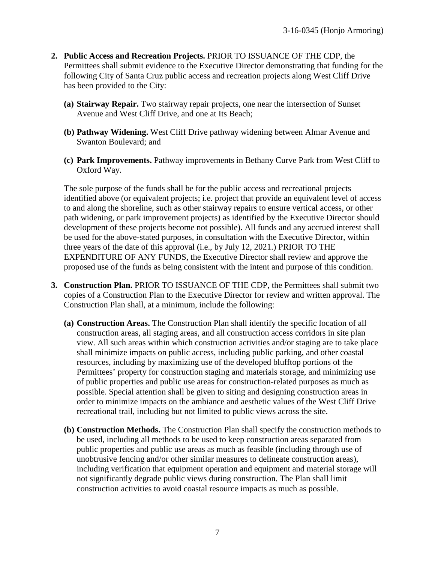- **2. Public Access and Recreation Projects.** PRIOR TO ISSUANCE OF THE CDP, the Permittees shall submit evidence to the Executive Director demonstrating that funding for the following City of Santa Cruz public access and recreation projects along West Cliff Drive has been provided to the City:
	- **(a) Stairway Repair.** Two stairway repair projects, one near the intersection of Sunset Avenue and West Cliff Drive, and one at Its Beach;
	- **(b) Pathway Widening.** West Cliff Drive pathway widening between Almar Avenue and Swanton Boulevard; and
	- **(c) Park Improvements.** Pathway improvements in Bethany Curve Park from West Cliff to Oxford Way.

The sole purpose of the funds shall be for the public access and recreational projects identified above (or equivalent projects; i.e. project that provide an equivalent level of access to and along the shoreline, such as other stairway repairs to ensure vertical access, or other path widening, or park improvement projects) as identified by the Executive Director should development of these projects become not possible). All funds and any accrued interest shall be used for the above-stated purposes, in consultation with the Executive Director, within three years of the date of this approval (i.e., by July 12, 2021.) PRIOR TO THE EXPENDITURE OF ANY FUNDS, the Executive Director shall review and approve the proposed use of the funds as being consistent with the intent and purpose of this condition.

- **3. Construction Plan.** PRIOR TO ISSUANCE OF THE CDP, the Permittees shall submit two copies of a Construction Plan to the Executive Director for review and written approval. The Construction Plan shall, at a minimum, include the following:
	- **(a) Construction Areas.** The Construction Plan shall identify the specific location of all construction areas, all staging areas, and all construction access corridors in site plan view. All such areas within which construction activities and/or staging are to take place shall minimize impacts on public access, including public parking, and other coastal resources, including by maximizing use of the developed blufftop portions of the Permittees' property for construction staging and materials storage, and minimizing use of public properties and public use areas for construction-related purposes as much as possible. Special attention shall be given to siting and designing construction areas in order to minimize impacts on the ambiance and aesthetic values of the West Cliff Drive recreational trail, including but not limited to public views across the site.
	- **(b) Construction Methods.** The Construction Plan shall specify the construction methods to be used, including all methods to be used to keep construction areas separated from public properties and public use areas as much as feasible (including through use of unobtrusive fencing and/or other similar measures to delineate construction areas), including verification that equipment operation and equipment and material storage will not significantly degrade public views during construction. The Plan shall limit construction activities to avoid coastal resource impacts as much as possible.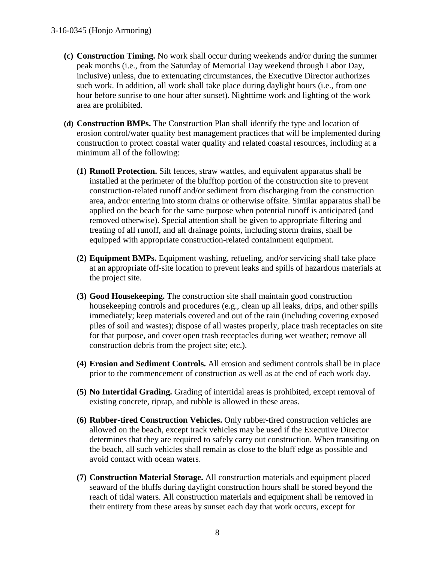- **(c) Construction Timing.** No work shall occur during weekends and/or during the summer peak months (i.e., from the Saturday of Memorial Day weekend through Labor Day, inclusive) unless, due to extenuating circumstances, the Executive Director authorizes such work. In addition, all work shall take place during daylight hours (i.e., from one hour before sunrise to one hour after sunset). Nighttime work and lighting of the work area are prohibited.
- **(d) Construction BMPs.** The Construction Plan shall identify the type and location of erosion control/water quality best management practices that will be implemented during construction to protect coastal water quality and related coastal resources, including at a minimum all of the following:
	- **(1) Runoff Protection.** Silt fences, straw wattles, and equivalent apparatus shall be installed at the perimeter of the blufftop portion of the construction site to prevent construction-related runoff and/or sediment from discharging from the construction area, and/or entering into storm drains or otherwise offsite. Similar apparatus shall be applied on the beach for the same purpose when potential runoff is anticipated (and removed otherwise). Special attention shall be given to appropriate filtering and treating of all runoff, and all drainage points, including storm drains, shall be equipped with appropriate construction-related containment equipment.
	- **(2) Equipment BMPs.** Equipment washing, refueling, and/or servicing shall take place at an appropriate off-site location to prevent leaks and spills of hazardous materials at the project site.
	- **(3) Good Housekeeping.** The construction site shall maintain good construction housekeeping controls and procedures (e.g., clean up all leaks, drips, and other spills immediately; keep materials covered and out of the rain (including covering exposed piles of soil and wastes); dispose of all wastes properly, place trash receptacles on site for that purpose, and cover open trash receptacles during wet weather; remove all construction debris from the project site; etc.).
	- **(4) Erosion and Sediment Controls.** All erosion and sediment controls shall be in place prior to the commencement of construction as well as at the end of each work day.
	- **(5) No Intertidal Grading.** Grading of intertidal areas is prohibited, except removal of existing concrete, riprap, and rubble is allowed in these areas.
	- **(6) Rubber-tired Construction Vehicles.** Only rubber-tired construction vehicles are allowed on the beach, except track vehicles may be used if the Executive Director determines that they are required to safely carry out construction. When transiting on the beach, all such vehicles shall remain as close to the bluff edge as possible and avoid contact with ocean waters.
	- **(7) Construction Material Storage.** All construction materials and equipment placed seaward of the bluffs during daylight construction hours shall be stored beyond the reach of tidal waters. All construction materials and equipment shall be removed in their entirety from these areas by sunset each day that work occurs, except for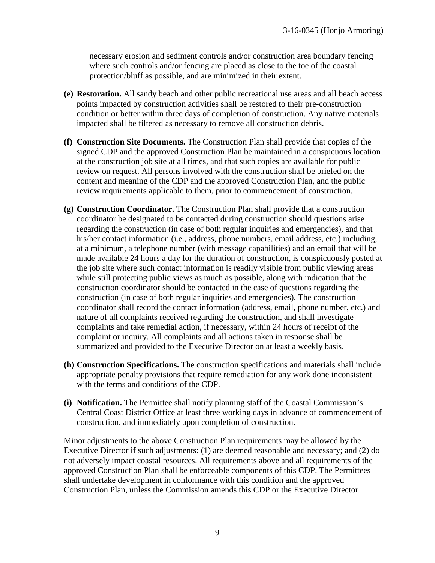necessary erosion and sediment controls and/or construction area boundary fencing where such controls and/or fencing are placed as close to the toe of the coastal protection/bluff as possible, and are minimized in their extent.

- **(e) Restoration.** All sandy beach and other public recreational use areas and all beach access points impacted by construction activities shall be restored to their pre-construction condition or better within three days of completion of construction. Any native materials impacted shall be filtered as necessary to remove all construction debris.
- **(f) Construction Site Documents.** The Construction Plan shall provide that copies of the signed CDP and the approved Construction Plan be maintained in a conspicuous location at the construction job site at all times, and that such copies are available for public review on request. All persons involved with the construction shall be briefed on the content and meaning of the CDP and the approved Construction Plan, and the public review requirements applicable to them, prior to commencement of construction.
- **(g) Construction Coordinator.** The Construction Plan shall provide that a construction coordinator be designated to be contacted during construction should questions arise regarding the construction (in case of both regular inquiries and emergencies), and that his/her contact information (i.e., address, phone numbers, email address, etc.) including, at a minimum, a telephone number (with message capabilities) and an email that will be made available 24 hours a day for the duration of construction, is conspicuously posted at the job site where such contact information is readily visible from public viewing areas while still protecting public views as much as possible, along with indication that the construction coordinator should be contacted in the case of questions regarding the construction (in case of both regular inquiries and emergencies). The construction coordinator shall record the contact information (address, email, phone number, etc.) and nature of all complaints received regarding the construction, and shall investigate complaints and take remedial action, if necessary, within 24 hours of receipt of the complaint or inquiry. All complaints and all actions taken in response shall be summarized and provided to the Executive Director on at least a weekly basis.
- **(h) Construction Specifications.** The construction specifications and materials shall include appropriate penalty provisions that require remediation for any work done inconsistent with the terms and conditions of the CDP.
- **(i) Notification.** The Permittee shall notify planning staff of the Coastal Commission's Central Coast District Office at least three working days in advance of commencement of construction, and immediately upon completion of construction.

Minor adjustments to the above Construction Plan requirements may be allowed by the Executive Director if such adjustments: (1) are deemed reasonable and necessary; and (2) do not adversely impact coastal resources. All requirements above and all requirements of the approved Construction Plan shall be enforceable components of this CDP. The Permittees shall undertake development in conformance with this condition and the approved Construction Plan, unless the Commission amends this CDP or the Executive Director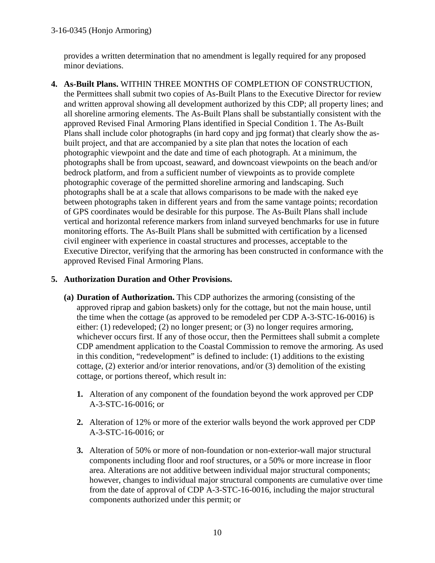#### 3-16-0345 (Honjo Armoring)

provides a written determination that no amendment is legally required for any proposed minor deviations.

**4. As-Built Plans.** WITHIN THREE MONTHS OF COMPLETION OF CONSTRUCTION, the Permittees shall submit two copies of As-Built Plans to the Executive Director for review and written approval showing all development authorized by this CDP; all property lines; and all shoreline armoring elements. The As-Built Plans shall be substantially consistent with the approved Revised Final Armoring Plans identified in Special Condition 1. The As-Built Plans shall include color photographs (in hard copy and jpg format) that clearly show the asbuilt project, and that are accompanied by a site plan that notes the location of each photographic viewpoint and the date and time of each photograph. At a minimum, the photographs shall be from upcoast, seaward, and downcoast viewpoints on the beach and/or bedrock platform, and from a sufficient number of viewpoints as to provide complete photographic coverage of the permitted shoreline armoring and landscaping. Such photographs shall be at a scale that allows comparisons to be made with the naked eye between photographs taken in different years and from the same vantage points; recordation of GPS coordinates would be desirable for this purpose. The As-Built Plans shall include vertical and horizontal reference markers from inland surveyed benchmarks for use in future monitoring efforts. The As-Built Plans shall be submitted with certification by a licensed civil engineer with experience in coastal structures and processes, acceptable to the Executive Director, verifying that the armoring has been constructed in conformance with the approved Revised Final Armoring Plans.

#### **5. Authorization Duration and Other Provisions.**

- **(a) Duration of Authorization.** This CDP authorizes the armoring (consisting of the approved riprap and gabion baskets) only for the cottage, but not the main house, until the time when the cottage (as approved to be remodeled per CDP A-3-STC-16-0016) is either: (1) redeveloped; (2) no longer present; or (3) no longer requires armoring, whichever occurs first. If any of those occur, then the Permittees shall submit a complete CDP amendment application to the Coastal Commission to remove the armoring. As used in this condition, "redevelopment" is defined to include: (1) additions to the existing cottage, (2) exterior and/or interior renovations, and/or (3) demolition of the existing cottage, or portions thereof, which result in:
	- **1.** Alteration of any component of the foundation beyond the work approved per CDP A-3-STC-16-0016; or
	- **2.** Alteration of 12% or more of the exterior walls beyond the work approved per CDP A-3-STC-16-0016; or
	- **3.** Alteration of 50% or more of non-foundation or non-exterior-wall major structural components including floor and roof structures, or a 50% or more increase in floor area. Alterations are not additive between individual major structural components; however, changes to individual major structural components are cumulative over time from the date of approval of CDP A-3-STC-16-0016, including the major structural components authorized under this permit; or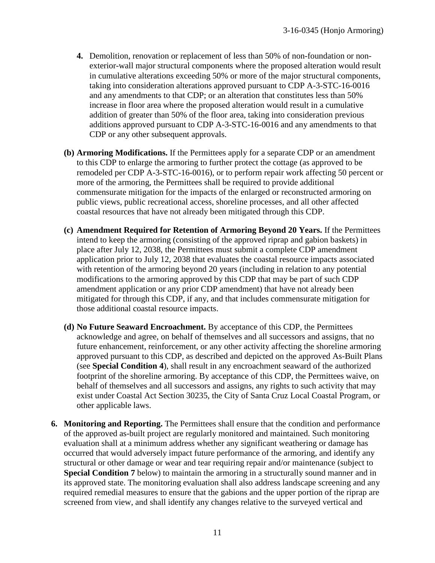- **4.** Demolition, renovation or replacement of less than 50% of non-foundation or nonexterior-wall major structural components where the proposed alteration would result in cumulative alterations exceeding 50% or more of the major structural components, taking into consideration alterations approved pursuant to CDP A-3-STC-16-0016 and any amendments to that CDP; or an alteration that constitutes less than 50% increase in floor area where the proposed alteration would result in a cumulative addition of greater than 50% of the floor area, taking into consideration previous additions approved pursuant to CDP A-3-STC-16-0016 and any amendments to that CDP or any other subsequent approvals.
- **(b) Armoring Modifications.** If the Permittees apply for a separate CDP or an amendment to this CDP to enlarge the armoring to further protect the cottage (as approved to be remodeled per CDP A-3-STC-16-0016), or to perform repair work affecting 50 percent or more of the armoring, the Permittees shall be required to provide additional commensurate mitigation for the impacts of the enlarged or reconstructed armoring on public views, public recreational access, shoreline processes, and all other affected coastal resources that have not already been mitigated through this CDP.
- **(c) Amendment Required for Retention of Armoring Beyond 20 Years.** If the Permittees intend to keep the armoring (consisting of the approved riprap and gabion baskets) in place after July 12, 2038, the Permittees must submit a complete CDP amendment application prior to July 12, 2038 that evaluates the coastal resource impacts associated with retention of the armoring beyond 20 years (including in relation to any potential modifications to the armoring approved by this CDP that may be part of such CDP amendment application or any prior CDP amendment) that have not already been mitigated for through this CDP, if any, and that includes commensurate mitigation for those additional coastal resource impacts.
- **(d) No Future Seaward Encroachment.** By acceptance of this CDP, the Permittees acknowledge and agree, on behalf of themselves and all successors and assigns, that no future enhancement, reinforcement, or any other activity affecting the shoreline armoring approved pursuant to this CDP, as described and depicted on the approved As-Built Plans (see **Special Condition 4**), shall result in any encroachment seaward of the authorized footprint of the shoreline armoring. By acceptance of this CDP, the Permittees waive, on behalf of themselves and all successors and assigns, any rights to such activity that may exist under Coastal Act Section 30235, the City of Santa Cruz Local Coastal Program, or other applicable laws.
- **6. Monitoring and Reporting.** The Permittees shall ensure that the condition and performance of the approved as-built project are regularly monitored and maintained. Such monitoring evaluation shall at a minimum address whether any significant weathering or damage has occurred that would adversely impact future performance of the armoring, and identify any structural or other damage or wear and tear requiring repair and/or maintenance (subject to **Special Condition 7** below) to maintain the armoring in a structurally sound manner and in its approved state. The monitoring evaluation shall also address landscape screening and any required remedial measures to ensure that the gabions and the upper portion of the riprap are screened from view, and shall identify any changes relative to the surveyed vertical and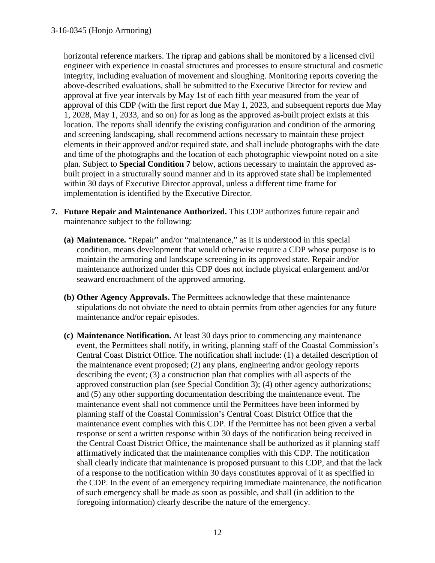horizontal reference markers. The riprap and gabions shall be monitored by a licensed civil engineer with experience in coastal structures and processes to ensure structural and cosmetic integrity, including evaluation of movement and sloughing. Monitoring reports covering the above-described evaluations, shall be submitted to the Executive Director for review and approval at five year intervals by May 1st of each fifth year measured from the year of approval of this CDP (with the first report due May 1, 2023, and subsequent reports due May 1, 2028, May 1, 2033, and so on) for as long as the approved as-built project exists at this location. The reports shall identify the existing configuration and condition of the armoring and screening landscaping, shall recommend actions necessary to maintain these project elements in their approved and/or required state, and shall include photographs with the date and time of the photographs and the location of each photographic viewpoint noted on a site plan. Subject to **Special Condition 7** below, actions necessary to maintain the approved asbuilt project in a structurally sound manner and in its approved state shall be implemented within 30 days of Executive Director approval, unless a different time frame for implementation is identified by the Executive Director.

- **7. Future Repair and Maintenance Authorized.** This CDP authorizes future repair and maintenance subject to the following:
	- **(a) Maintenance.** "Repair" and/or "maintenance," as it is understood in this special condition, means development that would otherwise require a CDP whose purpose is to maintain the armoring and landscape screening in its approved state. Repair and/or maintenance authorized under this CDP does not include physical enlargement and/or seaward encroachment of the approved armoring.
	- **(b) Other Agency Approvals.** The Permittees acknowledge that these maintenance stipulations do not obviate the need to obtain permits from other agencies for any future maintenance and/or repair episodes.
	- **(c) Maintenance Notification.** At least 30 days prior to commencing any maintenance event, the Permittees shall notify, in writing, planning staff of the Coastal Commission's Central Coast District Office. The notification shall include: (1) a detailed description of the maintenance event proposed; (2) any plans, engineering and/or geology reports describing the event; (3) a construction plan that complies with all aspects of the approved construction plan (see Special Condition 3); (4) other agency authorizations; and (5) any other supporting documentation describing the maintenance event. The maintenance event shall not commence until the Permittees have been informed by planning staff of the Coastal Commission's Central Coast District Office that the maintenance event complies with this CDP. If the Permittee has not been given a verbal response or sent a written response within 30 days of the notification being received in the Central Coast District Office, the maintenance shall be authorized as if planning staff affirmatively indicated that the maintenance complies with this CDP. The notification shall clearly indicate that maintenance is proposed pursuant to this CDP, and that the lack of a response to the notification within 30 days constitutes approval of it as specified in the CDP. In the event of an emergency requiring immediate maintenance, the notification of such emergency shall be made as soon as possible, and shall (in addition to the foregoing information) clearly describe the nature of the emergency.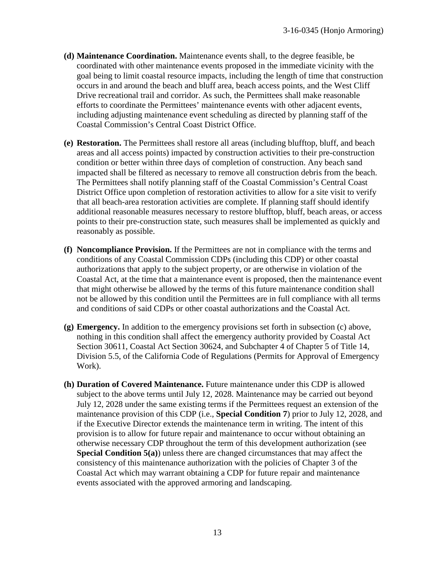- **(d) Maintenance Coordination.** Maintenance events shall, to the degree feasible, be coordinated with other maintenance events proposed in the immediate vicinity with the goal being to limit coastal resource impacts, including the length of time that construction occurs in and around the beach and bluff area, beach access points, and the West Cliff Drive recreational trail and corridor. As such, the Permittees shall make reasonable efforts to coordinate the Permittees' maintenance events with other adjacent events, including adjusting maintenance event scheduling as directed by planning staff of the Coastal Commission's Central Coast District Office.
- **(e) Restoration.** The Permittees shall restore all areas (including blufftop, bluff, and beach areas and all access points) impacted by construction activities to their pre-construction condition or better within three days of completion of construction. Any beach sand impacted shall be filtered as necessary to remove all construction debris from the beach. The Permittees shall notify planning staff of the Coastal Commission's Central Coast District Office upon completion of restoration activities to allow for a site visit to verify that all beach-area restoration activities are complete. If planning staff should identify additional reasonable measures necessary to restore blufftop, bluff, beach areas, or access points to their pre-construction state, such measures shall be implemented as quickly and reasonably as possible.
- **(f) Noncompliance Provision.** If the Permittees are not in compliance with the terms and conditions of any Coastal Commission CDPs (including this CDP) or other coastal authorizations that apply to the subject property, or are otherwise in violation of the Coastal Act, at the time that a maintenance event is proposed, then the maintenance event that might otherwise be allowed by the terms of this future maintenance condition shall not be allowed by this condition until the Permittees are in full compliance with all terms and conditions of said CDPs or other coastal authorizations and the Coastal Act.
- **(g) Emergency.** In addition to the emergency provisions set forth in subsection (c) above, nothing in this condition shall affect the emergency authority provided by Coastal Act Section 30611, Coastal Act Section 30624, and Subchapter 4 of Chapter 5 of Title 14, Division 5.5, of the California Code of Regulations (Permits for Approval of Emergency Work).
- **(h) Duration of Covered Maintenance.** Future maintenance under this CDP is allowed subject to the above terms until July 12, 2028. Maintenance may be carried out beyond July 12, 2028 under the same existing terms if the Permittees request an extension of the maintenance provision of this CDP (i.e., **Special Condition 7**) prior to July 12, 2028, and if the Executive Director extends the maintenance term in writing. The intent of this provision is to allow for future repair and maintenance to occur without obtaining an otherwise necessary CDP throughout the term of this development authorization (see **Special Condition 5(a)**) unless there are changed circumstances that may affect the consistency of this maintenance authorization with the policies of Chapter 3 of the Coastal Act which may warrant obtaining a CDP for future repair and maintenance events associated with the approved armoring and landscaping.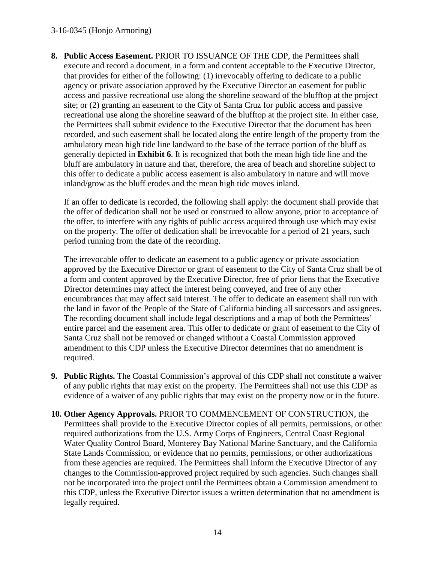#### 3-16-0345 (Honjo Armoring)

**8. Public Access Easement.** PRIOR TO ISSUANCE OF THE CDP, the Permittees shall execute and record a document, in a form and content acceptable to the Executive Director, that provides for either of the following: (1) irrevocably offering to dedicate to a public agency or private association approved by the Executive Director an easement for public access and passive recreational use along the shoreline seaward of the blufftop at the project site; or (2) granting an easement to the City of Santa Cruz for public access and passive recreational use along the shoreline seaward of the blufftop at the project site. In either case, the Permittees shall submit evidence to the Executive Director that the document has been recorded, and such easement shall be located along the entire length of the property from the ambulatory mean high tide line landward to the base of the terrace portion of the bluff as generally depicted in **Exhibit 6**. It is recognized that both the mean high tide line and the bluff are ambulatory in nature and that, therefore, the area of beach and shoreline subject to this offer to dedicate a public access easement is also ambulatory in nature and will move inland/grow as the bluff erodes and the mean high tide moves inland.

If an offer to dedicate is recorded, the following shall apply: the document shall provide that the offer of dedication shall not be used or construed to allow anyone, prior to acceptance of the offer, to interfere with any rights of public access acquired through use which may exist on the property. The offer of dedication shall be irrevocable for a period of 21 years, such period running from the date of the recording.

The irrevocable offer to dedicate an easement to a public agency or private association approved by the Executive Director or grant of easement to the City of Santa Cruz shall be of a form and content approved by the Executive Director, free of prior liens that the Executive Director determines may affect the interest being conveyed, and free of any other encumbrances that may affect said interest. The offer to dedicate an easement shall run with the land in favor of the People of the State of California binding all successors and assignees. The recording document shall include legal descriptions and a map of both the Permittees' entire parcel and the easement area. This offer to dedicate or grant of easement to the City of Santa Cruz shall not be removed or changed without a Coastal Commission approved amendment to this CDP unless the Executive Director determines that no amendment is required.

- **9. Public Rights.** The Coastal Commission's approval of this CDP shall not constitute a waiver of any public rights that may exist on the property. The Permittees shall not use this CDP as evidence of a waiver of any public rights that may exist on the property now or in the future.
- **10. Other Agency Approvals.** PRIOR TO COMMENCEMENT OF CONSTRUCTION, the Permittees shall provide to the Executive Director copies of all permits, permissions, or other required authorizations from the U.S. Army Corps of Engineers, Central Coast Regional Water Quality Control Board, Monterey Bay National Marine Sanctuary, and the California State Lands Commission, or evidence that no permits, permissions, or other authorizations from these agencies are required. The Permittees shall inform the Executive Director of any changes to the Commission-approved project required by such agencies. Such changes shall not be incorporated into the project until the Permittees obtain a Commission amendment to this CDP, unless the Executive Director issues a written determination that no amendment is legally required.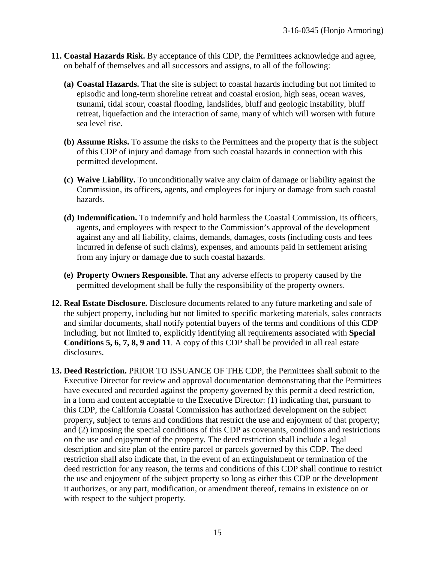- **11. Coastal Hazards Risk.** By acceptance of this CDP, the Permittees acknowledge and agree, on behalf of themselves and all successors and assigns, to all of the following:
	- **(a) Coastal Hazards.** That the site is subject to coastal hazards including but not limited to episodic and long-term shoreline retreat and coastal erosion, high seas, ocean waves, tsunami, tidal scour, coastal flooding, landslides, bluff and geologic instability, bluff retreat, liquefaction and the interaction of same, many of which will worsen with future sea level rise.
	- **(b) Assume Risks.** To assume the risks to the Permittees and the property that is the subject of this CDP of injury and damage from such coastal hazards in connection with this permitted development.
	- **(c) Waive Liability.** To unconditionally waive any claim of damage or liability against the Commission, its officers, agents, and employees for injury or damage from such coastal hazards.
	- **(d) Indemnification.** To indemnify and hold harmless the Coastal Commission, its officers, agents, and employees with respect to the Commission's approval of the development against any and all liability, claims, demands, damages, costs (including costs and fees incurred in defense of such claims), expenses, and amounts paid in settlement arising from any injury or damage due to such coastal hazards.
	- **(e) Property Owners Responsible.** That any adverse effects to property caused by the permitted development shall be fully the responsibility of the property owners.
- **12. Real Estate Disclosure.** Disclosure documents related to any future marketing and sale of the subject property, including but not limited to specific marketing materials, sales contracts and similar documents, shall notify potential buyers of the terms and conditions of this CDP including, but not limited to, explicitly identifying all requirements associated with **Special Conditions 5, 6, 7, 8, 9 and 11**. A copy of this CDP shall be provided in all real estate disclosures.
- **13. Deed Restriction.** PRIOR TO ISSUANCE OF THE CDP, the Permittees shall submit to the Executive Director for review and approval documentation demonstrating that the Permittees have executed and recorded against the property governed by this permit a deed restriction, in a form and content acceptable to the Executive Director: (1) indicating that, pursuant to this CDP, the California Coastal Commission has authorized development on the subject property, subject to terms and conditions that restrict the use and enjoyment of that property; and (2) imposing the special conditions of this CDP as covenants, conditions and restrictions on the use and enjoyment of the property. The deed restriction shall include a legal description and site plan of the entire parcel or parcels governed by this CDP. The deed restriction shall also indicate that, in the event of an extinguishment or termination of the deed restriction for any reason, the terms and conditions of this CDP shall continue to restrict the use and enjoyment of the subject property so long as either this CDP or the development it authorizes, or any part, modification, or amendment thereof, remains in existence on or with respect to the subject property.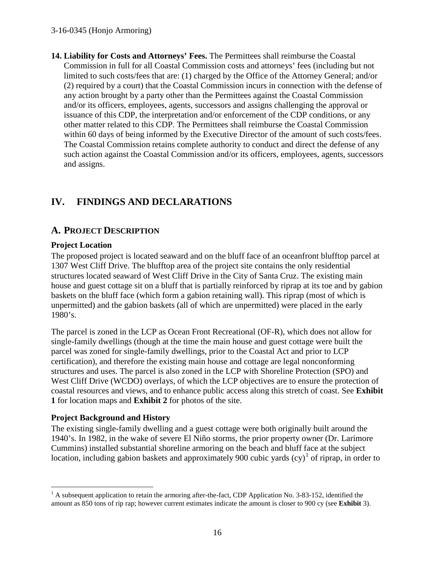#### 3-16-0345 (Honjo Armoring)

**14. Liability for Costs and Attorneys' Fees.** The Permittees shall reimburse the Coastal Commission in full for all Coastal Commission costs and attorneys' fees (including but not limited to such costs/fees that are: (1) charged by the Office of the Attorney General; and/or (2) required by a court) that the Coastal Commission incurs in connection with the defense of any action brought by a party other than the Permittees against the Coastal Commission and/or its officers, employees, agents, successors and assigns challenging the approval or issuance of this CDP, the interpretation and/or enforcement of the CDP conditions, or any other matter related to this CDP. The Permittees shall reimburse the Coastal Commission within 60 days of being informed by the Executive Director of the amount of such costs/fees. The Coastal Commission retains complete authority to conduct and direct the defense of any such action against the Coastal Commission and/or its officers, employees, agents, successors and assigns.

# **IV. FINDINGS AND DECLARATIONS**

### **A. PROJECT DESCRIPTION**

### **Project Location**

The proposed project is located seaward and on the bluff face of an oceanfront blufftop parcel at 1307 West Cliff Drive. The blufftop area of the project site contains the only residential structures located seaward of West Cliff Drive in the City of Santa Cruz. The existing main house and guest cottage sit on a bluff that is partially reinforced by riprap at its toe and by gabion baskets on the bluff face (which form a gabion retaining wall). This riprap (most of which is unpermitted) and the gabion baskets (all of which are unpermitted) were placed in the early 1980's.

The parcel is zoned in the LCP as Ocean Front Recreational (OF-R), which does not allow for single-family dwellings (though at the time the main house and guest cottage were built the parcel was zoned for single-family dwellings, prior to the Coastal Act and prior to LCP certification), and therefore the existing main house and cottage are legal nonconforming structures and uses. The parcel is also zoned in the LCP with Shoreline Protection (SPO) and West Cliff Drive (WCDO) overlays, of which the LCP objectives are to ensure the protection of coastal resources and views, and to enhance public access along this stretch of coast. See **Exhibit 1** for location maps and **Exhibit 2** for photos of the site.

#### **Project Background and History**

The existing single-family dwelling and a guest cottage were both originally built around the 1940's. In 1982, in the wake of severe El Niño storms, the prior property owner (Dr. Larimore Cummins) installed substantial shoreline armoring on the beach and bluff face at the subject location, including gabion baskets and approximately 900 cubic yards  $(cy)^{1}$  $(cy)^{1}$  $(cy)^{1}$  of riprap, in order to

<span id="page-15-0"></span> $\overline{a}$  $<sup>1</sup>$  A subsequent application to retain the armoring after-the-fact, CDP Application No. 3-83-152, identified the</sup> amount as 850 tons of rip rap; however current estimates indicate the amount is closer to 900 cy (see **Exhibit** 3).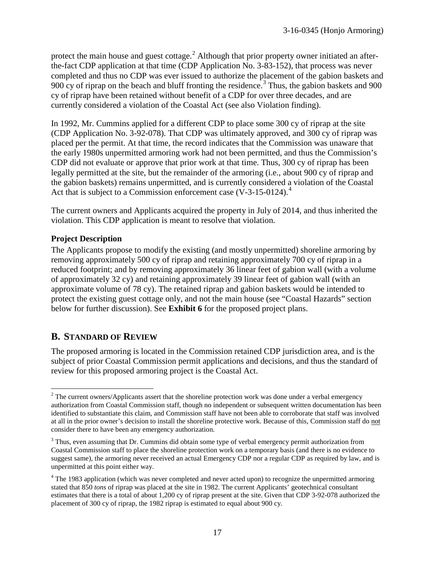protect the main house and guest cottage.<sup>[2](#page-16-0)</sup> Although that prior property owner initiated an afterthe-fact CDP application at that time (CDP Application No. 3-83-152), that process was never completed and thus no CDP was ever issued to authorize the placement of the gabion baskets and 900 cy of riprap on the beach and bluff fronting the residence.<sup>[3](#page-16-1)</sup> Thus, the gabion baskets and 900 cy of riprap have been retained without benefit of a CDP for over three decades, and are currently considered a violation of the Coastal Act (see also Violation finding).

In 1992, Mr. Cummins applied for a different CDP to place some 300 cy of riprap at the site (CDP Application No. 3-92-078). That CDP was ultimately approved, and 300 cy of riprap was placed per the permit. At that time, the record indicates that the Commission was unaware that the early 1980s unpermitted armoring work had not been permitted, and thus the Commission's CDP did not evaluate or approve that prior work at that time. Thus, 300 cy of riprap has been legally permitted at the site, but the remainder of the armoring (i.e., about 900 cy of riprap and the gabion baskets) remains unpermitted, and is currently considered a violation of the Coastal Act that is subject to a Commission enforcement case  $(V-3-15-0124)$  $(V-3-15-0124)$  $(V-3-15-0124)$ .<sup>4</sup>

The current owners and Applicants acquired the property in July of 2014, and thus inherited the violation. This CDP application is meant to resolve that violation.

### **Project Description**

The Applicants propose to modify the existing (and mostly unpermitted) shoreline armoring by removing approximately 500 cy of riprap and retaining approximately 700 cy of riprap in a reduced footprint; and by removing approximately 36 linear feet of gabion wall (with a volume of approximately 32 cy) and retaining approximately 39 linear feet of gabion wall (with an approximate volume of 78 cy). The retained riprap and gabion baskets would be intended to protect the existing guest cottage only, and not the main house (see "Coastal Hazards" section below for further discussion). See **Exhibit 6** for the proposed project plans.

# **B. STANDARD OF REVIEW**

The proposed armoring is located in the Commission retained CDP jurisdiction area, and is the subject of prior Coastal Commission permit applications and decisions, and thus the standard of review for this proposed armoring project is the Coastal Act.

<span id="page-16-0"></span> $\overline{a}$ <sup>2</sup> The current owners/Applicants assert that the shoreline protection work was done under a verbal emergency authorization from Coastal Commission staff, though no independent or subsequent written documentation has been identified to substantiate this claim, and Commission staff have not been able to corroborate that staff was involved at all in the prior owner's decision to install the shoreline protective work. Because of this, Commission staff do not consider there to have been any emergency authorization.

<span id="page-16-1"></span><sup>&</sup>lt;sup>3</sup> Thus, even assuming that Dr. Cummins did obtain some type of verbal emergency permit authorization from Coastal Commission staff to place the shoreline protection work on a temporary basis (and there is no evidence to suggest same), the armoring never received an actual Emergency CDP nor a regular CDP as required by law, and is unpermitted at this point either way.

<span id="page-16-2"></span><sup>&</sup>lt;sup>4</sup> The 1983 application (which was never completed and never acted upon) to recognize the unpermitted armoring stated that 850 *tons* of riprap was placed at the site in 1982. The current Applicants' geotechnical consultant estimates that there is a total of about 1,200 cy of riprap present at the site. Given that CDP 3-92-078 authorized the placement of 300 cy of riprap, the 1982 riprap is estimated to equal about 900 cy.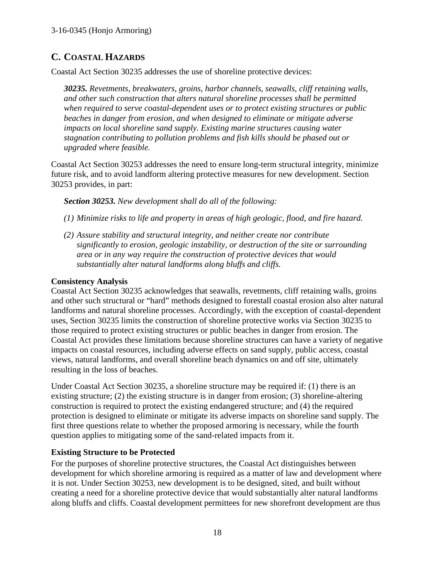# **C. COASTAL HAZARDS**

Coastal Act Section 30235 addresses the use of shoreline protective devices:

*30235. Revetments, breakwaters, groins, harbor channels, seawalls, cliff retaining walls, and other such construction that alters natural shoreline processes shall be permitted when required to serve coastal-dependent uses or to protect existing structures or public beaches in danger from erosion, and when designed to eliminate or mitigate adverse impacts on local shoreline sand supply. Existing marine structures causing water stagnation contributing to pollution problems and fish kills should be phased out or upgraded where feasible.* 

Coastal Act Section 30253 addresses the need to ensure long-term structural integrity, minimize future risk, and to avoid landform altering protective measures for new development. Section 30253 provides, in part:

*Section 30253. New development shall do all of the following:* 

- *(1) Minimize risks to life and property in areas of high geologic, flood, and fire hazard.*
- *(2) Assure stability and structural integrity, and neither create nor contribute significantly to erosion, geologic instability, or destruction of the site or surrounding area or in any way require the construction of protective devices that would substantially alter natural landforms along bluffs and cliffs.*

#### **Consistency Analysis**

Coastal Act Section 30235 acknowledges that seawalls, revetments, cliff retaining walls, groins and other such structural or "hard" methods designed to forestall coastal erosion also alter natural landforms and natural shoreline processes. Accordingly, with the exception of coastal-dependent uses, Section 30235 limits the construction of shoreline protective works via Section 30235 to those required to protect existing structures or public beaches in danger from erosion. The Coastal Act provides these limitations because shoreline structures can have a variety of negative impacts on coastal resources, including adverse effects on sand supply, public access, coastal views, natural landforms, and overall shoreline beach dynamics on and off site, ultimately resulting in the loss of beaches.

Under Coastal Act Section 30235, a shoreline structure may be required if: (1) there is an existing structure; (2) the existing structure is in danger from erosion; (3) shoreline-altering construction is required to protect the existing endangered structure; and (4) the required protection is designed to eliminate or mitigate its adverse impacts on shoreline sand supply. The first three questions relate to whether the proposed armoring is necessary, while the fourth question applies to mitigating some of the sand-related impacts from it.

#### **Existing Structure to be Protected**

For the purposes of shoreline protective structures, the Coastal Act distinguishes between development for which shoreline armoring is required as a matter of law and development where it is not. Under Section 30253, new development is to be designed, sited, and built without creating a need for a shoreline protective device that would substantially alter natural landforms along bluffs and cliffs. Coastal development permittees for new shorefront development are thus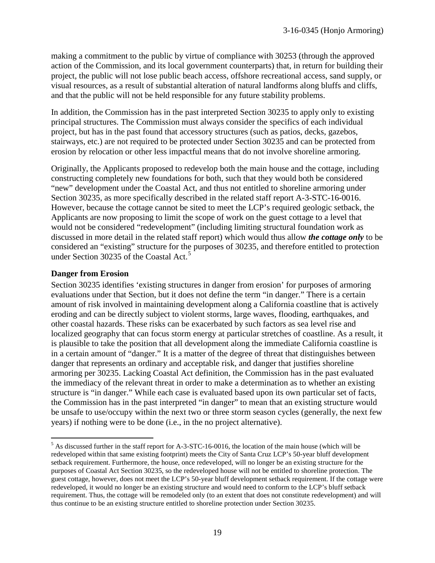making a commitment to the public by virtue of compliance with 30253 (through the approved action of the Commission, and its local government counterparts) that, in return for building their project, the public will not lose public beach access, offshore recreational access, sand supply, or visual resources, as a result of substantial alteration of natural landforms along bluffs and cliffs, and that the public will not be held responsible for any future stability problems.

In addition, the Commission has in the past interpreted Section 30235 to apply only to existing principal structures. The Commission must always consider the specifics of each individual project, but has in the past found that accessory structures (such as patios, decks, gazebos, stairways, etc.) are not required to be protected under Section 30235 and can be protected from erosion by relocation or other less impactful means that do not involve shoreline armoring.

Originally, the Applicants proposed to redevelop both the main house and the cottage, including constructing completely new foundations for both, such that they would both be considered "new" development under the Coastal Act, and thus not entitled to shoreline armoring under Section 30235, as more specifically described in the related staff report A-3-STC-16-0016. However, because the cottage cannot be sited to meet the LCP's required geologic setback, the Applicants are now proposing to limit the scope of work on the guest cottage to a level that would not be considered "redevelopment" (including limiting structural foundation work as discussed in more detail in the related staff report) which would thus allow *the cottage only* to be considered an "existing" structure for the purposes of 30235, and therefore entitled to protection under Section 3023[5](#page-18-0) of the Coastal Act.<sup>5</sup>

#### **Danger from Erosion**

 $\overline{a}$ 

Section 30235 identifies 'existing structures in danger from erosion' for purposes of armoring evaluations under that Section, but it does not define the term "in danger." There is a certain amount of risk involved in maintaining development along a California coastline that is actively eroding and can be directly subject to violent storms, large waves, flooding, earthquakes, and other coastal hazards. These risks can be exacerbated by such factors as sea level rise and localized geography that can focus storm energy at particular stretches of coastline. As a result, it is plausible to take the position that all development along the immediate California coastline is in a certain amount of "danger." It is a matter of the degree of threat that distinguishes between danger that represents an ordinary and acceptable risk, and danger that justifies shoreline armoring per 30235. Lacking Coastal Act definition, the Commission has in the past evaluated the immediacy of the relevant threat in order to make a determination as to whether an existing structure is "in danger." While each case is evaluated based upon its own particular set of facts, the Commission has in the past interpreted "in danger" to mean that an existing structure would be unsafe to use/occupy within the next two or three storm season cycles (generally, the next few years) if nothing were to be done (i.e., in the no project alternative).

<span id="page-18-0"></span> $<sup>5</sup>$  As discussed further in the staff report for A-3-STC-16-0016, the location of the main house (which will be</sup> redeveloped within that same existing footprint) meets the City of Santa Cruz LCP's 50-year bluff development setback requirement. Furthermore, the house, once redeveloped, will no longer be an existing structure for the purposes of Coastal Act Section 30235, so the redeveloped house will not be entitled to shoreline protection. The guest cottage, however, does not meet the LCP's 50-year bluff development setback requirement. If the cottage were redeveloped, it would no longer be an existing structure and would need to conform to the LCP's bluff setback requirement. Thus, the cottage will be remodeled only (to an extent that does not constitute redevelopment) and will thus continue to be an existing structure entitled to shoreline protection under Section 30235.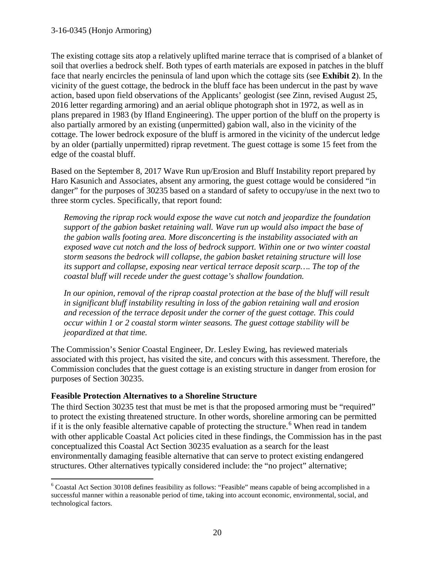The existing cottage sits atop a relatively uplifted marine terrace that is comprised of a blanket of soil that overlies a bedrock shelf. Both types of earth materials are exposed in patches in the bluff face that nearly encircles the peninsula of land upon which the cottage sits (see **Exhibit 2**). In the vicinity of the guest cottage, the bedrock in the bluff face has been undercut in the past by wave action, based upon field observations of the Applicants' geologist (see Zinn, revised August 25, 2016 letter regarding armoring) and an aerial oblique photograph shot in 1972, as well as in plans prepared in 1983 (by Ifland Engineering). The upper portion of the bluff on the property is also partially armored by an existing (unpermitted) gabion wall, also in the vicinity of the cottage. The lower bedrock exposure of the bluff is armored in the vicinity of the undercut ledge by an older (partially unpermitted) riprap revetment. The guest cottage is some 15 feet from the edge of the coastal bluff.

Based on the September 8, 2017 Wave Run up/Erosion and Bluff Instability report prepared by Haro Kasunich and Associates, absent any armoring, the guest cottage would be considered "in danger" for the purposes of 30235 based on a standard of safety to occupy/use in the next two to three storm cycles. Specifically, that report found:

*Removing the riprap rock would expose the wave cut notch and jeopardize the foundation support of the gabion basket retaining wall. Wave run up would also impact the base of the gabion walls footing area. More disconcerting is the instability associated with an exposed wave cut notch and the loss of bedrock support. Within one or two winter coastal storm seasons the bedrock will collapse, the gabion basket retaining structure will lose its support and collapse, exposing near vertical terrace deposit scarp…. The top of the coastal bluff will recede under the guest cottage's shallow foundation.* 

In our opinion, removal of the riprap coastal protection at the base of the bluff will result *in significant bluff instability resulting in loss of the gabion retaining wall and erosion and recession of the terrace deposit under the corner of the guest cottage. This could occur within 1 or 2 coastal storm winter seasons. The guest cottage stability will be jeopardized at that time.* 

The Commission's Senior Coastal Engineer, Dr. Lesley Ewing, has reviewed materials associated with this project, has visited the site, and concurs with this assessment. Therefore, the Commission concludes that the guest cottage is an existing structure in danger from erosion for purposes of Section 30235.

#### **Feasible Protection Alternatives to a Shoreline Structure**

The third Section 30235 test that must be met is that the proposed armoring must be "required" to protect the existing threatened structure. In other words, shoreline armoring can be permitted if it is the only feasible alternative capable of protecting the structure.<sup>[6](#page-19-0)</sup> When read in tandem with other applicable Coastal Act policies cited in these findings, the Commission has in the past conceptualized this Coastal Act Section 30235 evaluation as a search for the least environmentally damaging feasible alternative that can serve to protect existing endangered structures. Other alternatives typically considered include: the "no project" alternative;

<span id="page-19-0"></span> $\overline{a}$ <sup>6</sup> Coastal Act Section 30108 defines feasibility as follows: "Feasible" means capable of being accomplished in a successful manner within a reasonable period of time, taking into account economic, environmental, social, and technological factors.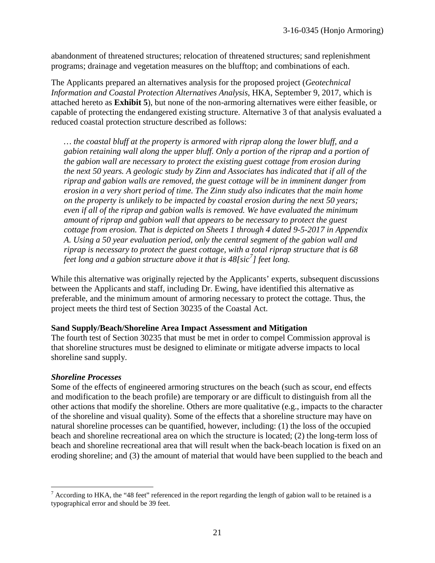abandonment of threatened structures; relocation of threatened structures; sand replenishment programs; drainage and vegetation measures on the blufftop; and combinations of each.

The Applicants prepared an alternatives analysis for the proposed project (*Geotechnical Information and Coastal Protection Alternatives Analysis*, HKA, September 9, 2017, which is attached hereto as **Exhibit 5**), but none of the non-armoring alternatives were either feasible, or capable of protecting the endangered existing structure. Alternative 3 of that analysis evaluated a reduced coastal protection structure described as follows:

*… the coastal bluff at the property is armored with riprap along the lower bluff, and a gabion retaining wall along the upper bluff. Only a portion of the riprap and a portion of the gabion wall are necessary to protect the existing guest cottage from erosion during the next 50 years. A geologic study by Zinn and Associates has indicated that if all of the riprap and gabion walls are removed, the guest cottage will be in imminent danger from erosion in a very short period of time. The Zinn study also indicates that the main home on the property is unlikely to be impacted by coastal erosion during the next 50 years; even if all of the riprap and gabion walls is removed. We have evaluated the minimum amount of riprap and gabion wall that appears to be necessary to protect the guest cottage from erosion. That is depicted on Sheets 1 through 4 dated 9-5-2017 in Appendix A. Using a 50 year evaluation period, only the central segment of the gabion wall and riprap is necessary to protect the guest cottage, with a total riprap structure that is 68 feet long and a gabion structure above it that is 48[sic[7](#page-20-0) ] feet long.* 

While this alternative was originally rejected by the Applicants' experts, subsequent discussions between the Applicants and staff, including Dr. Ewing, have identified this alternative as preferable, and the minimum amount of armoring necessary to protect the cottage. Thus, the project meets the third test of Section 30235 of the Coastal Act.

#### **Sand Supply/Beach/Shoreline Area Impact Assessment and Mitigation**

The fourth test of Section 30235 that must be met in order to compel Commission approval is that shoreline structures must be designed to eliminate or mitigate adverse impacts to local shoreline sand supply.

#### *Shoreline Processes*

 $\overline{a}$ 

Some of the effects of engineered armoring structures on the beach (such as scour, end effects and modification to the beach profile) are temporary or are difficult to distinguish from all the other actions that modify the shoreline. Others are more qualitative (e.g., impacts to the character of the shoreline and visual quality). Some of the effects that a shoreline structure may have on natural shoreline processes can be quantified, however, including: (1) the loss of the occupied beach and shoreline recreational area on which the structure is located; (2) the long-term loss of beach and shoreline recreational area that will result when the back-beach location is fixed on an eroding shoreline; and (3) the amount of material that would have been supplied to the beach and

<span id="page-20-0"></span><sup>&</sup>lt;sup>7</sup> According to HKA, the "48 feet" referenced in the report regarding the length of gabion wall to be retained is a typographical error and should be 39 feet.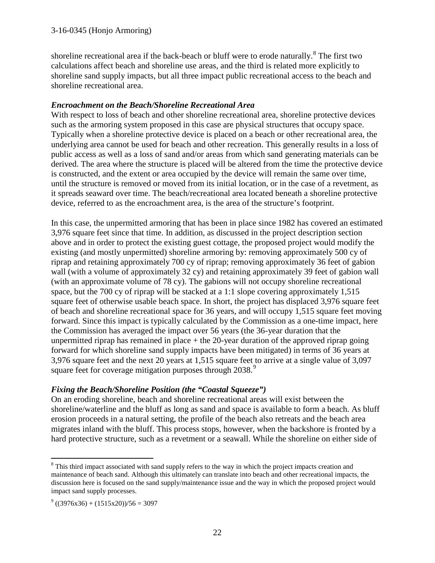shoreline recreational area if the back-beach or bluff were to erode naturally. $8$  The first two calculations affect beach and shoreline use areas, and the third is related more explicitly to shoreline sand supply impacts, but all three impact public recreational access to the beach and shoreline recreational area.

#### *Encroachment on the Beach/Shoreline Recreational Area*

With respect to loss of beach and other shoreline recreational area, shoreline protective devices such as the armoring system proposed in this case are physical structures that occupy space. Typically when a shoreline protective device is placed on a beach or other recreational area, the underlying area cannot be used for beach and other recreation. This generally results in a loss of public access as well as a loss of sand and/or areas from which sand generating materials can be derived. The area where the structure is placed will be altered from the time the protective device is constructed, and the extent or area occupied by the device will remain the same over time, until the structure is removed or moved from its initial location, or in the case of a revetment, as it spreads seaward over time. The beach/recreational area located beneath a shoreline protective device, referred to as the encroachment area, is the area of the structure's footprint.

In this case, the unpermitted armoring that has been in place since 1982 has covered an estimated 3,976 square feet since that time. In addition, as discussed in the project description section above and in order to protect the existing guest cottage, the proposed project would modify the existing (and mostly unpermitted) shoreline armoring by: removing approximately 500 cy of riprap and retaining approximately 700 cy of riprap; removing approximately 36 feet of gabion wall (with a volume of approximately 32 cy) and retaining approximately 39 feet of gabion wall (with an approximate volume of 78 cy). The gabions will not occupy shoreline recreational space, but the 700 cy of riprap will be stacked at a 1:1 slope covering approximately 1,515 square feet of otherwise usable beach space. In short, the project has displaced 3,976 square feet of beach and shoreline recreational space for 36 years, and will occupy 1,515 square feet moving forward. Since this impact is typically calculated by the Commission as a one-time impact, here the Commission has averaged the impact over 56 years (the 36-year duration that the unpermitted riprap has remained in place  $+$  the 20-year duration of the approved riprap going forward for which shoreline sand supply impacts have been mitigated) in terms of 36 years at 3,976 square feet and the next 20 years at 1,515 square feet to arrive at a single value of 3,097 square feet for coverage mitigation purposes through 2038.<sup>[9](#page-21-1)</sup>

### *Fixing the Beach/Shoreline Position (the "Coastal Squeeze")*

On an eroding shoreline, beach and shoreline recreational areas will exist between the shoreline/waterline and the bluff as long as sand and space is available to form a beach. As bluff erosion proceeds in a natural setting, the profile of the beach also retreats and the beach area migrates inland with the bluff. This process stops, however, when the backshore is fronted by a hard protective structure, such as a revetment or a seawall. While the shoreline on either side of

 $\overline{a}$ 

<span id="page-21-0"></span><sup>&</sup>lt;sup>8</sup> This third impact associated with sand supply refers to the way in which the project impacts creation and maintenance of beach sand. Although this ultimately can translate into beach and other recreational impacts, the discussion here is focused on the sand supply/maintenance issue and the way in which the proposed project would impact sand supply processes.

<span id="page-21-1"></span> $^{9}$  ((3976x36) + (1515x20))/56 = 3097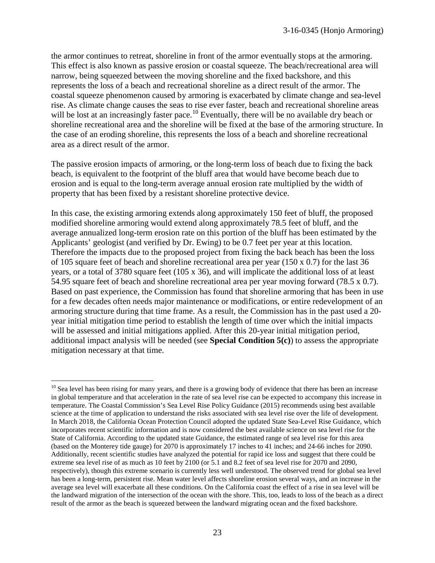the armor continues to retreat, shoreline in front of the armor eventually stops at the armoring. This effect is also known as passive erosion or coastal squeeze. The beach/recreational area will narrow, being squeezed between the moving shoreline and the fixed backshore, and this represents the loss of a beach and recreational shoreline as a direct result of the armor. The coastal squeeze phenomenon caused by armoring is exacerbated by climate change and sea-level rise. As climate change causes the seas to rise ever faster, beach and recreational shoreline areas will be lost at an increasingly faster pace.<sup>[10](#page-22-0)</sup> Eventually, there will be no available dry beach or shoreline recreational area and the shoreline will be fixed at the base of the armoring structure. In the case of an eroding shoreline, this represents the loss of a beach and shoreline recreational area as a direct result of the armor.

The passive erosion impacts of armoring, or the long-term loss of beach due to fixing the back beach, is equivalent to the footprint of the bluff area that would have become beach due to erosion and is equal to the long-term average annual erosion rate multiplied by the width of property that has been fixed by a resistant shoreline protective device.

In this case, the existing armoring extends along approximately 150 feet of bluff, the proposed modified shoreline armoring would extend along approximately 78.5 feet of bluff, and the average annualized long-term erosion rate on this portion of the bluff has been estimated by the Applicants' geologist (and verified by Dr. Ewing) to be 0.7 feet per year at this location. Therefore the impacts due to the proposed project from fixing the back beach has been the loss of 105 square feet of beach and shoreline recreational area per year (150 x 0.7) for the last 36 years, or a total of 3780 square feet (105 x 36), and will implicate the additional loss of at least 54.95 square feet of beach and shoreline recreational area per year moving forward (78.5 x 0.7). Based on past experience, the Commission has found that shoreline armoring that has been in use for a few decades often needs major maintenance or modifications, or entire redevelopment of an armoring structure during that time frame. As a result, the Commission has in the past used a 20 year initial mitigation time period to establish the length of time over which the initial impacts will be assessed and initial mitigations applied. After this 20-year initial mitigation period, additional impact analysis will be needed (see **Special Condition 5(c)**) to assess the appropriate mitigation necessary at that time.

<span id="page-22-0"></span> $\overline{a}$  $10$  Sea level has been rising for many years, and there is a growing body of evidence that there has been an increase in global temperature and that acceleration in the rate of sea level rise can be expected to accompany this increase in temperature. The Coastal Commission's Sea Level Rise Policy Guidance (2015) recommends using best available science at the time of application to understand the risks associated with sea level rise over the life of development. In March 2018, the California Ocean Protection Council adopted the updated State Sea-Level Rise Guidance, which incorporates recent scientific information and is now considered the best available science on sea level rise for the State of California. According to the updated state Guidance, the estimated range of sea level rise for this area (based on the Monterey tide gauge) for 2070 is approximately 17 inches to 41 inches; and 24-66 inches for 2090. Additionally, recent scientific studies have analyzed the potential for rapid ice loss and suggest that there could be extreme sea level rise of as much as 10 feet by 2100 (or 5.1 and 8.2 feet of sea level rise for 2070 and 2090, respectively), though this extreme scenario is currently less well understood. The observed trend for global sea level has been a long-term, persistent rise. Mean water level affects shoreline erosion several ways, and an increase in the average sea level will exacerbate all these conditions. On the California coast the effect of a rise in sea level will be the landward migration of the intersection of the ocean with the shore. This, too, leads to loss of the beach as a direct result of the armor as the beach is squeezed between the landward migrating ocean and the fixed backshore.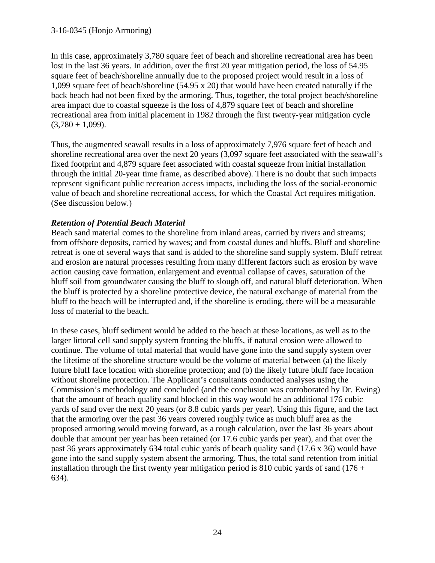In this case, approximately 3,780 square feet of beach and shoreline recreational area has been lost in the last 36 years. In addition, over the first 20 year mitigation period, the loss of 54.95 square feet of beach/shoreline annually due to the proposed project would result in a loss of 1,099 square feet of beach/shoreline (54.95 x 20) that would have been created naturally if the back beach had not been fixed by the armoring. Thus, together, the total project beach/shoreline area impact due to coastal squeeze is the loss of 4,879 square feet of beach and shoreline recreational area from initial placement in 1982 through the first twenty-year mitigation cycle  $(3,780 + 1,099)$ .

Thus, the augmented seawall results in a loss of approximately 7,976 square feet of beach and shoreline recreational area over the next 20 years (3,097 square feet associated with the seawall's fixed footprint and 4,879 square feet associated with coastal squeeze from initial installation through the initial 20-year time frame, as described above). There is no doubt that such impacts represent significant public recreation access impacts, including the loss of the social-economic value of beach and shoreline recreational access, for which the Coastal Act requires mitigation. (See discussion below.)

### *Retention of Potential Beach Material*

Beach sand material comes to the shoreline from inland areas, carried by rivers and streams; from offshore deposits, carried by waves; and from coastal dunes and bluffs. Bluff and shoreline retreat is one of several ways that sand is added to the shoreline sand supply system. Bluff retreat and erosion are natural processes resulting from many different factors such as erosion by wave action causing cave formation, enlargement and eventual collapse of caves, saturation of the bluff soil from groundwater causing the bluff to slough off, and natural bluff deterioration. When the bluff is protected by a shoreline protective device, the natural exchange of material from the bluff to the beach will be interrupted and, if the shoreline is eroding, there will be a measurable loss of material to the beach.

In these cases, bluff sediment would be added to the beach at these locations, as well as to the larger littoral cell sand supply system fronting the bluffs, if natural erosion were allowed to continue. The volume of total material that would have gone into the sand supply system over the lifetime of the shoreline structure would be the volume of material between (a) the likely future bluff face location with shoreline protection; and (b) the likely future bluff face location without shoreline protection. The Applicant's consultants conducted analyses using the Commission's methodology and concluded (and the conclusion was corroborated by Dr. Ewing) that the amount of beach quality sand blocked in this way would be an additional 176 cubic yards of sand over the next 20 years (or 8.8 cubic yards per year). Using this figure, and the fact that the armoring over the past 36 years covered roughly twice as much bluff area as the proposed armoring would moving forward, as a rough calculation, over the last 36 years about double that amount per year has been retained (or 17.6 cubic yards per year), and that over the past 36 years approximately 634 total cubic yards of beach quality sand (17.6 x 36) would have gone into the sand supply system absent the armoring. Thus, the total sand retention from initial installation through the first twenty year mitigation period is 810 cubic yards of sand  $(176 +$ 634).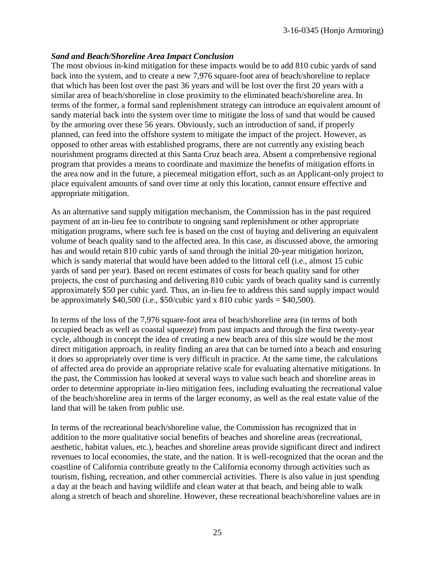#### *Sand and Beach/Shoreline Area Impact Conclusion*

The most obvious in-kind mitigation for these impacts would be to add 810 cubic yards of sand back into the system, and to create a new 7,976 square-foot area of beach/shoreline to replace that which has been lost over the past 36 years and will be lost over the first 20 years with a similar area of beach/shoreline in close proximity to the eliminated beach/shoreline area. In terms of the former, a formal sand replenishment strategy can introduce an equivalent amount of sandy material back into the system over time to mitigate the loss of sand that would be caused by the armoring over these 56 years. Obviously, such an introduction of sand, if properly planned, can feed into the offshore system to mitigate the impact of the project. However, as opposed to other areas with established programs, there are not currently any existing beach nourishment programs directed at this Santa Cruz beach area. Absent a comprehensive regional program that provides a means to coordinate and maximize the benefits of mitigation efforts in the area now and in the future, a piecemeal mitigation effort, such as an Applicant-only project to place equivalent amounts of sand over time at only this location, cannot ensure effective and appropriate mitigation.

As an alternative sand supply mitigation mechanism, the Commission has in the past required payment of an in-lieu fee to contribute to ongoing sand replenishment or other appropriate mitigation programs, where such fee is based on the cost of buying and delivering an equivalent volume of beach quality sand to the affected area. In this case, as discussed above, the armoring has and would retain 810 cubic vards of sand through the initial 20-year mitigation horizon, which is sandy material that would have been added to the littoral cell (i.e., almost 15 cubic yards of sand per year). Based on recent estimates of costs for beach quality sand for other projects, the cost of purchasing and delivering 810 cubic yards of beach quality sand is currently approximately \$50 per cubic yard. Thus, an in-lieu fee to address this sand supply impact would be approximately  $$40,500$  (i.e.,  $$50/cubic$  yard x  $810$  cubic yards =  $$40,500$ ).

In terms of the loss of the 7,976 square-foot area of beach/shoreline area (in terms of both occupied beach as well as coastal squeeze) from past impacts and through the first twenty-year cycle, although in concept the idea of creating a new beach area of this size would be the most direct mitigation approach, in reality finding an area that can be turned into a beach and ensuring it does so appropriately over time is very difficult in practice. At the same time, the calculations of affected area do provide an appropriate relative scale for evaluating alternative mitigations. In the past, the Commission has looked at several ways to value such beach and shoreline areas in order to determine appropriate in-lieu mitigation fees, including evaluating the recreational value of the beach/shoreline area in terms of the larger economy, as well as the real estate value of the land that will be taken from public use.

In terms of the recreational beach/shoreline value, the Commission has recognized that in addition to the more qualitative social benefits of beaches and shoreline areas (recreational, aesthetic, habitat values, etc.), beaches and shoreline areas provide significant direct and indirect revenues to local economies, the state, and the nation. It is well-recognized that the ocean and the coastline of California contribute greatly to the California economy through activities such as tourism, fishing, recreation, and other commercial activities. There is also value in just spending a day at the beach and having wildlife and clean water at that beach, and being able to walk along a stretch of beach and shoreline. However, these recreational beach/shoreline values are in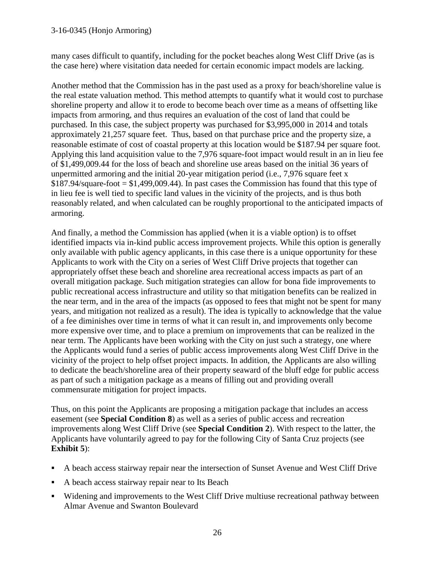many cases difficult to quantify, including for the pocket beaches along West Cliff Drive (as is the case here) where visitation data needed for certain economic impact models are lacking.

Another method that the Commission has in the past used as a proxy for beach/shoreline value is the real estate valuation method. This method attempts to quantify what it would cost to purchase shoreline property and allow it to erode to become beach over time as a means of offsetting like impacts from armoring, and thus requires an evaluation of the cost of land that could be purchased. In this case, the subject property was purchased for \$3,995,000 in 2014 and totals approximately 21,257 square feet. Thus, based on that purchase price and the property size, a reasonable estimate of cost of coastal property at this location would be \$187.94 per square foot. Applying this land acquisition value to the 7,976 square-foot impact would result in an in lieu fee of \$1,499,009.44 for the loss of beach and shoreline use areas based on the initial 36 years of unpermitted armoring and the initial 20-year mitigation period (i.e., 7,976 square feet x  $$187.94$ /square-foot  $= $1,499,009.44$ ). In past cases the Commission has found that this type of in lieu fee is well tied to specific land values in the vicinity of the projects, and is thus both reasonably related, and when calculated can be roughly proportional to the anticipated impacts of armoring.

And finally, a method the Commission has applied (when it is a viable option) is to offset identified impacts via in-kind public access improvement projects. While this option is generally only available with public agency applicants, in this case there is a unique opportunity for these Applicants to work with the City on a series of West Cliff Drive projects that together can appropriately offset these beach and shoreline area recreational access impacts as part of an overall mitigation package. Such mitigation strategies can allow for bona fide improvements to public recreational access infrastructure and utility so that mitigation benefits can be realized in the near term, and in the area of the impacts (as opposed to fees that might not be spent for many years, and mitigation not realized as a result). The idea is typically to acknowledge that the value of a fee diminishes over time in terms of what it can result in, and improvements only become more expensive over time, and to place a premium on improvements that can be realized in the near term. The Applicants have been working with the City on just such a strategy, one where the Applicants would fund a series of public access improvements along West Cliff Drive in the vicinity of the project to help offset project impacts. In addition, the Applicants are also willing to dedicate the beach/shoreline area of their property seaward of the bluff edge for public access as part of such a mitigation package as a means of filling out and providing overall commensurate mitigation for project impacts.

Thus, on this point the Applicants are proposing a mitigation package that includes an access easement (see **Special Condition 8**) as well as a series of public access and recreation improvements along West Cliff Drive (see **Special Condition 2**). With respect to the latter, the Applicants have voluntarily agreed to pay for the following City of Santa Cruz projects (see **Exhibit 5**):

- A beach access stairway repair near the intersection of Sunset Avenue and West Cliff Drive
- A beach access stairway repair near to Its Beach
- Widening and improvements to the West Cliff Drive multiuse recreational pathway between Almar Avenue and Swanton Boulevard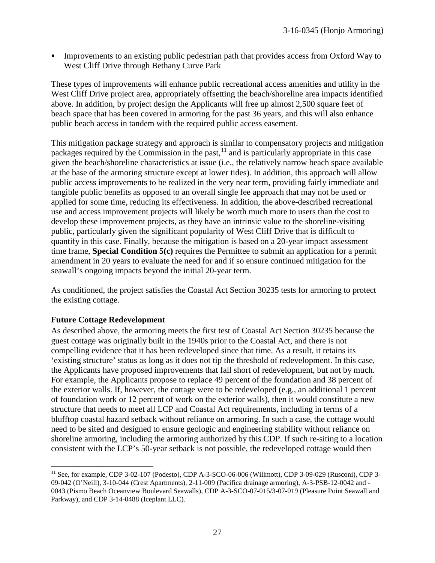Improvements to an existing public pedestrian path that provides access from Oxford Way to West Cliff Drive through Bethany Curve Park

These types of improvements will enhance public recreational access amenities and utility in the West Cliff Drive project area, appropriately offsetting the beach/shoreline area impacts identified above. In addition, by project design the Applicants will free up almost 2,500 square feet of beach space that has been covered in armoring for the past 36 years, and this will also enhance public beach access in tandem with the required public access easement.

This mitigation package strategy and approach is similar to compensatory projects and mitigation packages required by the Commission in the past,<sup>[11](#page-26-0)</sup> and is particularly appropriate in this case given the beach/shoreline characteristics at issue (i.e., the relatively narrow beach space available at the base of the armoring structure except at lower tides). In addition, this approach will allow public access improvements to be realized in the very near term, providing fairly immediate and tangible public benefits as opposed to an overall single fee approach that may not be used or applied for some time, reducing its effectiveness. In addition, the above-described recreational use and access improvement projects will likely be worth much more to users than the cost to develop these improvement projects, as they have an intrinsic value to the shoreline-visiting public, particularly given the significant popularity of West Cliff Drive that is difficult to quantify in this case. Finally, because the mitigation is based on a 20-year impact assessment time frame, **Special Condition 5(c)** requires the Permittee to submit an application for a permit amendment in 20 years to evaluate the need for and if so ensure continued mitigation for the seawall's ongoing impacts beyond the initial 20-year term.

As conditioned, the project satisfies the Coastal Act Section 30235 tests for armoring to protect the existing cottage.

#### **Future Cottage Redevelopment**

As described above, the armoring meets the first test of Coastal Act Section 30235 because the guest cottage was originally built in the 1940s prior to the Coastal Act, and there is not compelling evidence that it has been redeveloped since that time. As a result, it retains its 'existing structure' status as long as it does not tip the threshold of redevelopment. In this case, the Applicants have proposed improvements that fall short of redevelopment, but not by much. For example, the Applicants propose to replace 49 percent of the foundation and 38 percent of the exterior walls. If, however, the cottage were to be redeveloped (e.g., an additional 1 percent of foundation work or 12 percent of work on the exterior walls), then it would constitute a new structure that needs to meet all LCP and Coastal Act requirements, including in terms of a blufftop coastal hazard setback without reliance on armoring. In such a case, the cottage would need to be sited and designed to ensure geologic and engineering stability without reliance on shoreline armoring, including the armoring authorized by this CDP. If such re-siting to a location consistent with the LCP's 50-year setback is not possible, the redeveloped cottage would then

<span id="page-26-0"></span> $\overline{a}$ <sup>11</sup> See, for example, CDP 3-02-107 (Podesto), CDP A-3-SCO-06-006 (Willmott), CDP 3-09-029 (Rusconi), CDP 3-09-042 (O'Neill), 3-10-044 (Crest Apartments), 2-11-009 (Pacifica drainage armoring), A-3-PSB-12-0042 and - 0043 (Pismo Beach Oceanview Boulevard Seawalls), CDP A-3-SCO-07-015/3-07-019 (Pleasure Point Seawall and Parkway), and CDP 3-14-0488 (Iceplant LLC).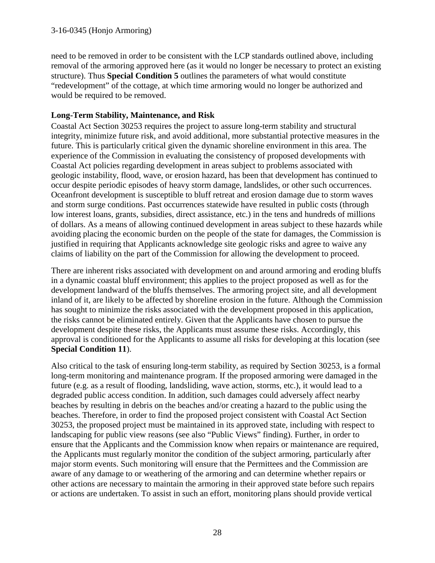need to be removed in order to be consistent with the LCP standards outlined above, including removal of the armoring approved here (as it would no longer be necessary to protect an existing structure). Thus **Special Condition 5** outlines the parameters of what would constitute "redevelopment" of the cottage, at which time armoring would no longer be authorized and would be required to be removed.

#### **Long-Term Stability, Maintenance, and Risk**

Coastal Act Section 30253 requires the project to assure long-term stability and structural integrity, minimize future risk, and avoid additional, more substantial protective measures in the future. This is particularly critical given the dynamic shoreline environment in this area. The experience of the Commission in evaluating the consistency of proposed developments with Coastal Act policies regarding development in areas subject to problems associated with geologic instability, flood, wave, or erosion hazard, has been that development has continued to occur despite periodic episodes of heavy storm damage, landslides, or other such occurrences. Oceanfront development is susceptible to bluff retreat and erosion damage due to storm waves and storm surge conditions. Past occurrences statewide have resulted in public costs (through low interest loans, grants, subsidies, direct assistance, etc.) in the tens and hundreds of millions of dollars. As a means of allowing continued development in areas subject to these hazards while avoiding placing the economic burden on the people of the state for damages, the Commission is justified in requiring that Applicants acknowledge site geologic risks and agree to waive any claims of liability on the part of the Commission for allowing the development to proceed.

There are inherent risks associated with development on and around armoring and eroding bluffs in a dynamic coastal bluff environment; this applies to the project proposed as well as for the development landward of the bluffs themselves. The armoring project site, and all development inland of it, are likely to be affected by shoreline erosion in the future. Although the Commission has sought to minimize the risks associated with the development proposed in this application, the risks cannot be eliminated entirely. Given that the Applicants have chosen to pursue the development despite these risks, the Applicants must assume these risks. Accordingly, this approval is conditioned for the Applicants to assume all risks for developing at this location (see **Special Condition 11**).

Also critical to the task of ensuring long-term stability, as required by Section 30253, is a formal long-term monitoring and maintenance program. If the proposed armoring were damaged in the future (e.g. as a result of flooding, landsliding, wave action, storms, etc.), it would lead to a degraded public access condition. In addition, such damages could adversely affect nearby beaches by resulting in debris on the beaches and/or creating a hazard to the public using the beaches. Therefore, in order to find the proposed project consistent with Coastal Act Section 30253, the proposed project must be maintained in its approved state, including with respect to landscaping for public view reasons (see also "Public Views" finding). Further, in order to ensure that the Applicants and the Commission know when repairs or maintenance are required, the Applicants must regularly monitor the condition of the subject armoring, particularly after major storm events. Such monitoring will ensure that the Permittees and the Commission are aware of any damage to or weathering of the armoring and can determine whether repairs or other actions are necessary to maintain the armoring in their approved state before such repairs or actions are undertaken. To assist in such an effort, monitoring plans should provide vertical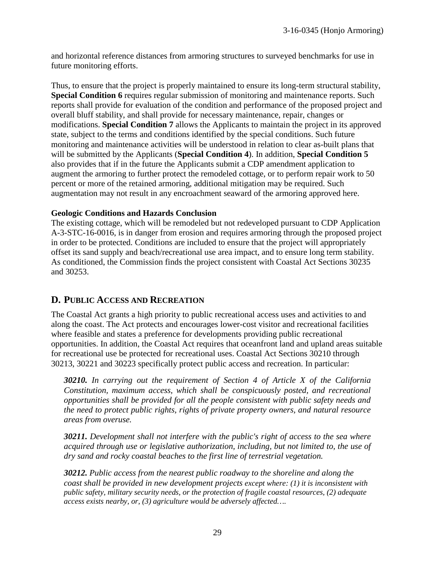and horizontal reference distances from armoring structures to surveyed benchmarks for use in future monitoring efforts.

Thus, to ensure that the project is properly maintained to ensure its long-term structural stability, **Special Condition 6** requires regular submission of monitoring and maintenance reports. Such reports shall provide for evaluation of the condition and performance of the proposed project and overall bluff stability, and shall provide for necessary maintenance, repair, changes or modifications. **Special Condition 7** allows the Applicants to maintain the project in its approved state, subject to the terms and conditions identified by the special conditions. Such future monitoring and maintenance activities will be understood in relation to clear as-built plans that will be submitted by the Applicants (**Special Condition 4**). In addition, **Special Condition 5**  also provides that if in the future the Applicants submit a CDP amendment application to augment the armoring to further protect the remodeled cottage, or to perform repair work to 50 percent or more of the retained armoring, additional mitigation may be required. Such augmentation may not result in any encroachment seaward of the armoring approved here.

#### **Geologic Conditions and Hazards Conclusion**

The existing cottage, which will be remodeled but not redeveloped pursuant to CDP Application A-3-STC-16-0016, is in danger from erosion and requires armoring through the proposed project in order to be protected. Conditions are included to ensure that the project will appropriately offset its sand supply and beach/recreational use area impact, and to ensure long term stability. As conditioned, the Commission finds the project consistent with Coastal Act Sections 30235 and 30253.

### **D. PUBLIC ACCESS AND RECREATION**

The Coastal Act grants a high priority to public recreational access uses and activities to and along the coast. The Act protects and encourages lower-cost visitor and recreational facilities where feasible and states a preference for developments providing public recreational opportunities. In addition, the Coastal Act requires that oceanfront land and upland areas suitable for recreational use be protected for recreational uses. Coastal Act Sections 30210 through 30213, 30221 and 30223 specifically protect public access and recreation. In particular:

*30210. In carrying out the requirement of Section 4 of Article X of the California Constitution, maximum access, which shall be conspicuously posted, and recreational opportunities shall be provided for all the people consistent with public safety needs and the need to protect public rights, rights of private property owners, and natural resource areas from overuse.* 

*30211. Development shall not interfere with the public's right of access to the sea where acquired through use or legislative authorization, including, but not limited to, the use of dry sand and rocky coastal beaches to the first line of terrestrial vegetation.* 

*30212. Public access from the nearest public roadway to the shoreline and along the coast shall be provided in new development projects except where: (1) it is inconsistent with public safety, military security needs, or the protection of fragile coastal resources, (2) adequate access exists nearby, or, (3) agriculture would be adversely affected….*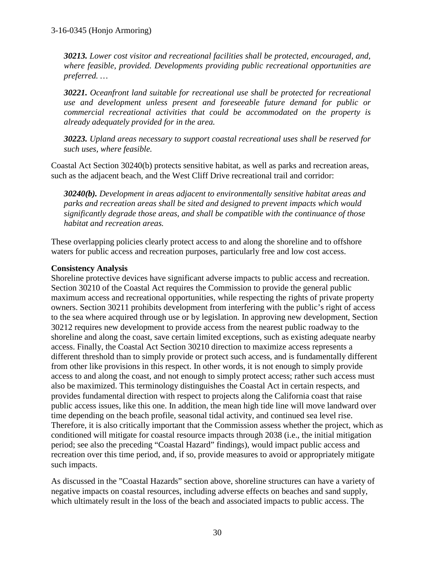*30213. Lower cost visitor and recreational facilities shall be protected, encouraged, and, where feasible, provided. Developments providing public recreational opportunities are preferred. …*

*30221. Oceanfront land suitable for recreational use shall be protected for recreational use and development unless present and foreseeable future demand for public or commercial recreational activities that could be accommodated on the property is already adequately provided for in the area.* 

*30223. Upland areas necessary to support coastal recreational uses shall be reserved for such uses, where feasible.* 

Coastal Act Section 30240(b) protects sensitive habitat, as well as parks and recreation areas, such as the adjacent beach, and the West Cliff Drive recreational trail and corridor:

*30240(b). Development in areas adjacent to environmentally sensitive habitat areas and parks and recreation areas shall be sited and designed to prevent impacts which would significantly degrade those areas, and shall be compatible with the continuance of those habitat and recreation areas.* 

These overlapping policies clearly protect access to and along the shoreline and to offshore waters for public access and recreation purposes, particularly free and low cost access.

### **Consistency Analysis**

Shoreline protective devices have significant adverse impacts to public access and recreation. Section 30210 of the Coastal Act requires the Commission to provide the general public maximum access and recreational opportunities, while respecting the rights of private property owners. Section 30211 prohibits development from interfering with the public's right of access to the sea where acquired through use or by legislation. In approving new development, Section 30212 requires new development to provide access from the nearest public roadway to the shoreline and along the coast, save certain limited exceptions, such as existing adequate nearby access. Finally, the Coastal Act Section 30210 direction to maximize access represents a different threshold than to simply provide or protect such access, and is fundamentally different from other like provisions in this respect. In other words, it is not enough to simply provide access to and along the coast, and not enough to simply protect access; rather such access must also be maximized. This terminology distinguishes the Coastal Act in certain respects, and provides fundamental direction with respect to projects along the California coast that raise public access issues, like this one. In addition, the mean high tide line will move landward over time depending on the beach profile, seasonal tidal activity, and continued sea level rise. Therefore, it is also critically important that the Commission assess whether the project, which as conditioned will mitigate for coastal resource impacts through 2038 (i.e., the initial mitigation period; see also the preceding "Coastal Hazard" findings), would impact public access and recreation over this time period, and, if so, provide measures to avoid or appropriately mitigate such impacts.

As discussed in the "Coastal Hazards" section above, shoreline structures can have a variety of negative impacts on coastal resources, including adverse effects on beaches and sand supply, which ultimately result in the loss of the beach and associated impacts to public access. The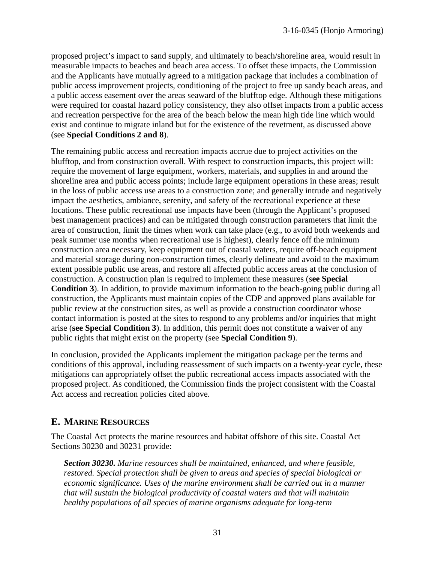proposed project's impact to sand supply, and ultimately to beach/shoreline area, would result in measurable impacts to beaches and beach area access. To offset these impacts, the Commission and the Applicants have mutually agreed to a mitigation package that includes a combination of public access improvement projects, conditioning of the project to free up sandy beach areas, and a public access easement over the areas seaward of the blufftop edge. Although these mitigations were required for coastal hazard policy consistency, they also offset impacts from a public access and recreation perspective for the area of the beach below the mean high tide line which would exist and continue to migrate inland but for the existence of the revetment, as discussed above (see **Special Conditions 2 and 8**).

The remaining public access and recreation impacts accrue due to project activities on the blufftop, and from construction overall. With respect to construction impacts, this project will: require the movement of large equipment, workers, materials, and supplies in and around the shoreline area and public access points; include large equipment operations in these areas; result in the loss of public access use areas to a construction zone; and generally intrude and negatively impact the aesthetics, ambiance, serenity, and safety of the recreational experience at these locations. These public recreational use impacts have been (through the Applicant's proposed best management practices) and can be mitigated through construction parameters that limit the area of construction, limit the times when work can take place (e.g., to avoid both weekends and peak summer use months when recreational use is highest), clearly fence off the minimum construction area necessary, keep equipment out of coastal waters, require off-beach equipment and material storage during non-construction times, clearly delineate and avoid to the maximum extent possible public use areas, and restore all affected public access areas at the conclusion of construction. A construction plan is required to implement these measures (s**ee Special Condition 3**). In addition, to provide maximum information to the beach-going public during all construction, the Applicants must maintain copies of the CDP and approved plans available for public review at the construction sites, as well as provide a construction coordinator whose contact information is posted at the sites to respond to any problems and/or inquiries that might arise (**see Special Condition 3**). In addition, this permit does not constitute a waiver of any public rights that might exist on the property (see **Special Condition 9**).

In conclusion, provided the Applicants implement the mitigation package per the terms and conditions of this approval, including reassessment of such impacts on a twenty-year cycle, these mitigations can appropriately offset the public recreational access impacts associated with the proposed project. As conditioned, the Commission finds the project consistent with the Coastal Act access and recreation policies cited above.

# **E. MARINE RESOURCES**

The Coastal Act protects the marine resources and habitat offshore of this site. Coastal Act Sections 30230 and 30231 provide:

*Section 30230. Marine resources shall be maintained, enhanced, and where feasible, restored. Special protection shall be given to areas and species of special biological or economic significance. Uses of the marine environment shall be carried out in a manner that will sustain the biological productivity of coastal waters and that will maintain healthy populations of all species of marine organisms adequate for long-term*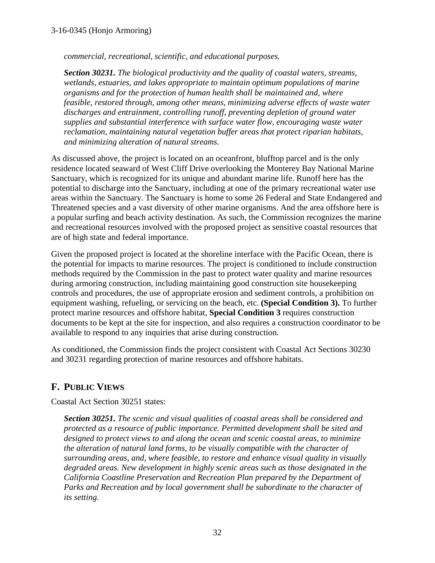*commercial, recreational, scientific, and educational purposes.* 

*Section 30231. The biological productivity and the quality of coastal waters, streams, wetlands, estuaries, and lakes appropriate to maintain optimum populations of marine organisms and for the protection of human health shall be maintained and, where feasible, restored through, among other means, minimizing adverse effects of waste water discharges and entrainment, controlling runoff, preventing depletion of ground water supplies and substantial interference with surface water flow, encouraging waste water reclamation, maintaining natural vegetation buffer areas that protect riparian habitats, and minimizing alteration of natural streams.* 

As discussed above, the project is located on an oceanfront, blufftop parcel and is the only residence located seaward of West Cliff Drive overlooking the Monterey Bay National Marine Sanctuary, which is recognized for its unique and abundant marine life. Runoff here has the potential to discharge into the Sanctuary, including at one of the primary recreational water use areas within the Sanctuary. The Sanctuary is home to some 26 Federal and State Endangered and Threatened species and a vast diversity of other marine organisms. And the area offshore here is a popular surfing and beach activity destination. As such, the Commission recognizes the marine and recreational resources involved with the proposed project as sensitive coastal resources that are of high state and federal importance.

Given the proposed project is located at the shoreline interface with the Pacific Ocean, there is the potential for impacts to marine resources. The project is conditioned to include construction methods required by the Commission in the past to protect water quality and marine resources during armoring construction, including maintaining good construction site housekeeping controls and procedures, the use of appropriate erosion and sediment controls, a prohibition on equipment washing, refueling, or servicing on the beach, etc. **(Special Condition 3).** To further protect marine resources and offshore habitat, **Special Condition 3** requires construction documents to be kept at the site for inspection, and also requires a construction coordinator to be available to respond to any inquiries that arise during construction.

As conditioned, the Commission finds the project consistent with Coastal Act Sections 30230 and 30231 regarding protection of marine resources and offshore habitats.

# **F. PUBLIC VIEWS**

Coastal Act Section 30251 states:

*Section 30251. The scenic and visual qualities of coastal areas shall be considered and protected as a resource of public importance. Permitted development shall be sited and designed to protect views to and along the ocean and scenic coastal areas, to minimize the alteration of natural land forms, to be visually compatible with the character of surrounding areas, and, where feasible, to restore and enhance visual quality in visually degraded areas. New development in highly scenic areas such as those designated in the California Coastline Preservation and Recreation Plan prepared by the Department of Parks and Recreation and by local government shall be subordinate to the character of its setting.*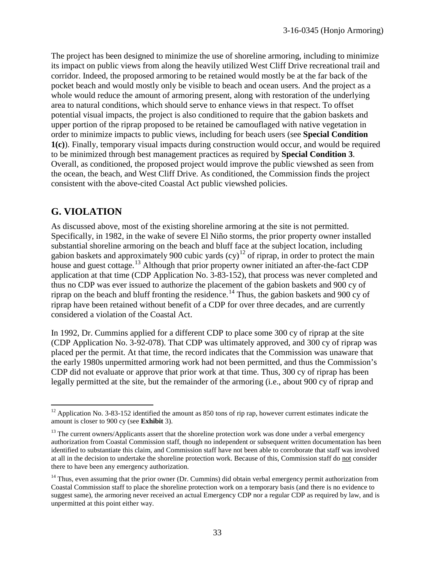The project has been designed to minimize the use of shoreline armoring, including to minimize its impact on public views from along the heavily utilized West Cliff Drive recreational trail and corridor. Indeed, the proposed armoring to be retained would mostly be at the far back of the pocket beach and would mostly only be visible to beach and ocean users. And the project as a whole would reduce the amount of armoring present, along with restoration of the underlying area to natural conditions, which should serve to enhance views in that respect. To offset potential visual impacts, the project is also conditioned to require that the gabion baskets and upper portion of the riprap proposed to be retained be camouflaged with native vegetation in order to minimize impacts to public views, including for beach users (see **Special Condition 1(c)**). Finally, temporary visual impacts during construction would occur, and would be required to be minimized through best management practices as required by **Special Condition 3**. Overall, as conditioned, the proposed project would improve the public viewshed as seen from the ocean, the beach, and West Cliff Drive. As conditioned, the Commission finds the project consistent with the above-cited Coastal Act public viewshed policies.

# **G. VIOLATION**

As discussed above, most of the existing shoreline armoring at the site is not permitted. Specifically, in 1982, in the wake of severe El Niño storms, the prior property owner installed substantial shoreline armoring on the beach and bluff face at the subject location, including gabion baskets and approximately 900 cubic yards  $(cy)^{12}$  of riprap, in order to protect the main house and guest cottage.<sup>[13](#page-32-1)</sup> Although that prior property owner initiated an after-the-fact CDP application at that time (CDP Application No. 3-83-152), that process was never completed and thus no CDP was ever issued to authorize the placement of the gabion baskets and 900 cy of riprap on the beach and bluff fronting the residence.<sup>[14](#page-32-2)</sup> Thus, the gabion baskets and 900 cy of riprap have been retained without benefit of a CDP for over three decades, and are currently considered a violation of the Coastal Act.

In 1992, Dr. Cummins applied for a different CDP to place some 300 cy of riprap at the site (CDP Application No. 3-92-078). That CDP was ultimately approved, and 300 cy of riprap was placed per the permit. At that time, the record indicates that the Commission was unaware that the early 1980s unpermitted armoring work had not been permitted, and thus the Commission's CDP did not evaluate or approve that prior work at that time. Thus, 300 cy of riprap has been legally permitted at the site, but the remainder of the armoring (i.e., about 900 cy of riprap and

<span id="page-32-0"></span> $\overline{a}$  $12$  Application No. 3-83-152 identified the amount as 850 tons of rip rap, however current estimates indicate the amount is closer to 900 cy (see **Exhibit** 3).

<span id="page-32-1"></span><sup>&</sup>lt;sup>13</sup> The current owners/Applicants assert that the shoreline protection work was done under a verbal emergency authorization from Coastal Commission staff, though no independent or subsequent written documentation has been identified to substantiate this claim, and Commission staff have not been able to corroborate that staff was involved at all in the decision to undertake the shoreline protection work. Because of this, Commission staff do not consider there to have been any emergency authorization.

<span id="page-32-2"></span><sup>&</sup>lt;sup>14</sup> Thus, even assuming that the prior owner (Dr. Cummins) did obtain verbal emergency permit authorization from Coastal Commission staff to place the shoreline protection work on a temporary basis (and there is no evidence to suggest same), the armoring never received an actual Emergency CDP nor a regular CDP as required by law, and is unpermitted at this point either way.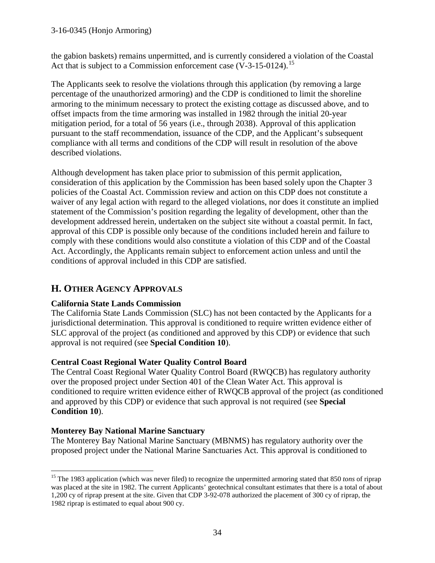the gabion baskets) remains unpermitted, and is currently considered a violation of the Coastal Act that is subject to a Commission enforcement case  $(V-3-15-0124)$ .<sup>15</sup>

The Applicants seek to resolve the violations through this application (by removing a large percentage of the unauthorized armoring) and the CDP is conditioned to limit the shoreline armoring to the minimum necessary to protect the existing cottage as discussed above, and to offset impacts from the time armoring was installed in 1982 through the initial 20-year mitigation period, for a total of 56 years (i.e., through 2038). Approval of this application pursuant to the staff recommendation, issuance of the CDP, and the Applicant's subsequent compliance with all terms and conditions of the CDP will result in resolution of the above described violations.

Although development has taken place prior to submission of this permit application, consideration of this application by the Commission has been based solely upon the Chapter 3 policies of the Coastal Act. Commission review and action on this CDP does not constitute a waiver of any legal action with regard to the alleged violations, nor does it constitute an implied statement of the Commission's position regarding the legality of development, other than the development addressed herein, undertaken on the subject site without a coastal permit. In fact, approval of this CDP is possible only because of the conditions included herein and failure to comply with these conditions would also constitute a violation of this CDP and of the Coastal Act. Accordingly, the Applicants remain subject to enforcement action unless and until the conditions of approval included in this CDP are satisfied.

# **H. OTHER AGENCY APPROVALS**

### **California State Lands Commission**

The California State Lands Commission (SLC) has not been contacted by the Applicants for a jurisdictional determination. This approval is conditioned to require written evidence either of SLC approval of the project (as conditioned and approved by this CDP) or evidence that such approval is not required (see **Special Condition 10**).

### **Central Coast Regional Water Quality Control Board**

The Central Coast Regional Water Quality Control Board (RWQCB) has regulatory authority over the proposed project under Section 401 of the Clean Water Act. This approval is conditioned to require written evidence either of RWQCB approval of the project (as conditioned and approved by this CDP) or evidence that such approval is not required (see **Special Condition 10**).

### **Monterey Bay National Marine Sanctuary**

The Monterey Bay National Marine Sanctuary (MBNMS) has regulatory authority over the proposed project under the National Marine Sanctuaries Act. This approval is conditioned to

<span id="page-33-0"></span> $\overline{a}$ <sup>15</sup> The 1983 application (which was never filed) to recognize the unpermitted armoring stated that 850 *tons* of riprap was placed at the site in 1982. The current Applicants' geotechnical consultant estimates that there is a total of about 1,200 cy of riprap present at the site. Given that CDP 3-92-078 authorized the placement of 300 cy of riprap, the 1982 riprap is estimated to equal about 900 cy.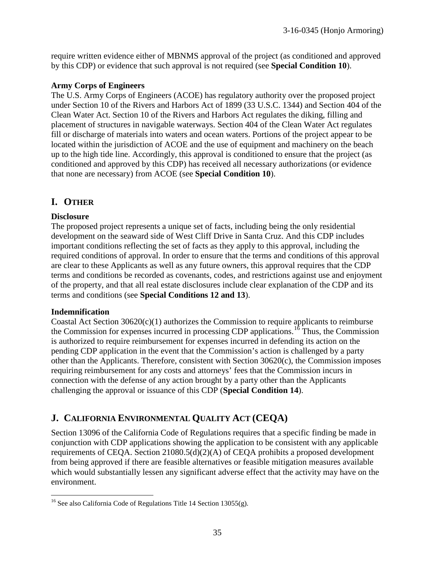require written evidence either of MBNMS approval of the project (as conditioned and approved by this CDP) or evidence that such approval is not required (see **Special Condition 10**).

### **Army Corps of Engineers**

The U.S. Army Corps of Engineers (ACOE) has regulatory authority over the proposed project under Section 10 of the Rivers and Harbors Act of 1899 (33 U.S.C. 1344) and Section 404 of the Clean Water Act. Section 10 of the Rivers and Harbors Act regulates the diking, filling and placement of structures in navigable waterways. Section 404 of the Clean Water Act regulates fill or discharge of materials into waters and ocean waters. Portions of the project appear to be located within the jurisdiction of ACOE and the use of equipment and machinery on the beach up to the high tide line. Accordingly, this approval is conditioned to ensure that the project (as conditioned and approved by this CDP) has received all necessary authorizations (or evidence that none are necessary) from ACOE (see **Special Condition 10**).

# **I. OTHER**

### **Disclosure**

The proposed project represents a unique set of facts, including being the only residential development on the seaward side of West Cliff Drive in Santa Cruz. And this CDP includes important conditions reflecting the set of facts as they apply to this approval, including the required conditions of approval. In order to ensure that the terms and conditions of this approval are clear to these Applicants as well as any future owners, this approval requires that the CDP terms and conditions be recorded as covenants, codes, and restrictions against use and enjoyment of the property, and that all real estate disclosures include clear explanation of the CDP and its terms and conditions (see **Special Conditions 12 and 13**).

### **Indemnification**

Coastal Act Section  $30620(c)(1)$  authorizes the Commission to require applicants to reimburse the Commission for expenses incurred in processing CDP applications.<sup>[16](#page-34-0)</sup> Thus, the Commission is authorized to require reimbursement for expenses incurred in defending its action on the pending CDP application in the event that the Commission's action is challenged by a party other than the Applicants. Therefore, consistent with Section 30620(c), the Commission imposes requiring reimbursement for any costs and attorneys' fees that the Commission incurs in connection with the defense of any action brought by a party other than the Applicants challenging the approval or issuance of this CDP (**Special Condition 14**).

# **J. CALIFORNIA ENVIRONMENTAL QUALITY ACT (CEQA)**

Section 13096 of the California Code of Regulations requires that a specific finding be made in conjunction with CDP applications showing the application to be consistent with any applicable requirements of CEQA. Section 21080.5(d)(2)(A) of CEQA prohibits a proposed development from being approved if there are feasible alternatives or feasible mitigation measures available which would substantially lessen any significant adverse effect that the activity may have on the environment.

<span id="page-34-0"></span> $\overline{a}$ <sup>16</sup> See also California Code of Regulations Title 14 Section 13055(g).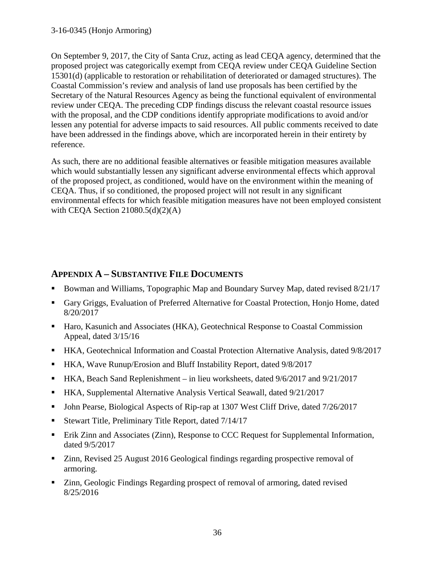On September 9, 2017, the City of Santa Cruz, acting as lead CEQA agency, determined that the proposed project was categorically exempt from CEQA review under CEQA Guideline Section 15301(d) (applicable to restoration or rehabilitation of deteriorated or damaged structures). The Coastal Commission's review and analysis of land use proposals has been certified by the Secretary of the Natural Resources Agency as being the functional equivalent of environmental review under CEQA. The preceding CDP findings discuss the relevant coastal resource issues with the proposal, and the CDP conditions identify appropriate modifications to avoid and/or lessen any potential for adverse impacts to said resources. All public comments received to date have been addressed in the findings above, which are incorporated herein in their entirety by reference.

As such, there are no additional feasible alternatives or feasible mitigation measures available which would substantially lessen any significant adverse environmental effects which approval of the proposed project, as conditioned, would have on the environment within the meaning of CEQA. Thus, if so conditioned, the proposed project will not result in any significant environmental effects for which feasible mitigation measures have not been employed consistent with CEQA Section  $21080.5(d)(2)(A)$ 

### **APPENDIX A – SUBSTANTIVE FILE DOCUMENTS**

- Bowman and Williams, Topographic Map and Boundary Survey Map, dated revised 8/21/17
- Gary Griggs, Evaluation of Preferred Alternative for Coastal Protection, Honjo Home, dated 8/20/2017
- Haro, Kasunich and Associates (HKA), Geotechnical Response to Coastal Commission Appeal, dated 3/15/16
- HKA, Geotechnical Information and Coastal Protection Alternative Analysis, dated 9/8/2017
- HKA, Wave Runup/Erosion and Bluff Instability Report, dated 9/8/2017
- HKA, Beach Sand Replenishment in lieu worksheets, dated 9/6/2017 and 9/21/2017
- HKA, Supplemental Alternative Analysis Vertical Seawall, dated 9/21/2017
- John Pearse, Biological Aspects of Rip-rap at 1307 West Cliff Drive, dated 7/26/2017
- Stewart Title, Preliminary Title Report, dated  $7/14/17$
- **Erik Zinn and Associates (Zinn), Response to CCC Request for Supplemental Information,** dated 9/5/2017
- Zinn, Revised 25 August 2016 Geological findings regarding prospective removal of armoring.
- Zinn, Geologic Findings Regarding prospect of removal of armoring, dated revised 8/25/2016